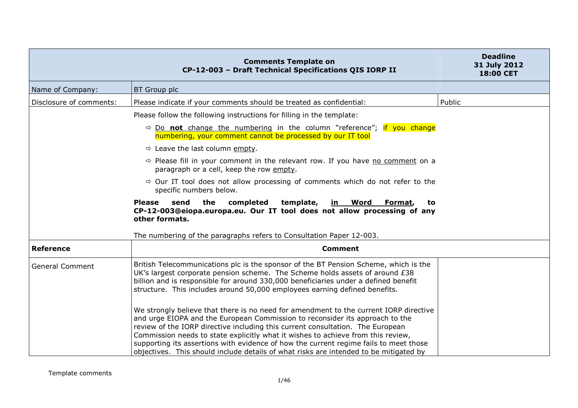|                         | <b>Comments Template on</b><br>CP-12-003 - Draft Technical Specifications QIS IORP II                                                                                                                                                                                                                                                                                                                                                                                                                                         | <b>Deadline</b><br>31 July 2012<br>18:00 CET |
|-------------------------|-------------------------------------------------------------------------------------------------------------------------------------------------------------------------------------------------------------------------------------------------------------------------------------------------------------------------------------------------------------------------------------------------------------------------------------------------------------------------------------------------------------------------------|----------------------------------------------|
| Name of Company:        | BT Group plc                                                                                                                                                                                                                                                                                                                                                                                                                                                                                                                  |                                              |
| Disclosure of comments: | Please indicate if your comments should be treated as confidential:                                                                                                                                                                                                                                                                                                                                                                                                                                                           | Public                                       |
|                         | Please follow the following instructions for filling in the template:                                                                                                                                                                                                                                                                                                                                                                                                                                                         |                                              |
|                         | $\Rightarrow$ Do not change the numbering in the column "reference"; if you change<br>numbering, your comment cannot be processed by our IT tool                                                                                                                                                                                                                                                                                                                                                                              |                                              |
|                         | $\Rightarrow$ Leave the last column empty.                                                                                                                                                                                                                                                                                                                                                                                                                                                                                    |                                              |
|                         | $\Rightarrow$ Please fill in your comment in the relevant row. If you have no comment on a<br>paragraph or a cell, keep the row empty.                                                                                                                                                                                                                                                                                                                                                                                        |                                              |
|                         | $\Rightarrow$ Our IT tool does not allow processing of comments which do not refer to the<br>specific numbers below.                                                                                                                                                                                                                                                                                                                                                                                                          |                                              |
|                         | <b>Please</b><br>send<br>the<br>completed<br>template,<br><u>in Word</u><br>Format,<br>to<br>CP-12-003@eiopa.europa.eu. Our IT tool does not allow processing of any<br>other formats.<br>The numbering of the paragraphs refers to Consultation Paper 12-003.                                                                                                                                                                                                                                                                |                                              |
| <b>Reference</b>        | <b>Comment</b>                                                                                                                                                                                                                                                                                                                                                                                                                                                                                                                |                                              |
| <b>General Comment</b>  | British Telecommunications plc is the sponsor of the BT Pension Scheme, which is the<br>UK's largest corporate pension scheme. The Scheme holds assets of around £38<br>billion and is responsible for around 330,000 beneficiaries under a defined benefit<br>structure. This includes around 50,000 employees earning defined benefits.                                                                                                                                                                                     |                                              |
|                         | We strongly believe that there is no need for amendment to the current IORP directive<br>and urge EIOPA and the European Commission to reconsider its approach to the<br>review of the IORP directive including this current consultation. The European<br>Commission needs to state explicitly what it wishes to achieve from this review,<br>supporting its assertions with evidence of how the current regime fails to meet those<br>objectives. This should include details of what risks are intended to be mitigated by |                                              |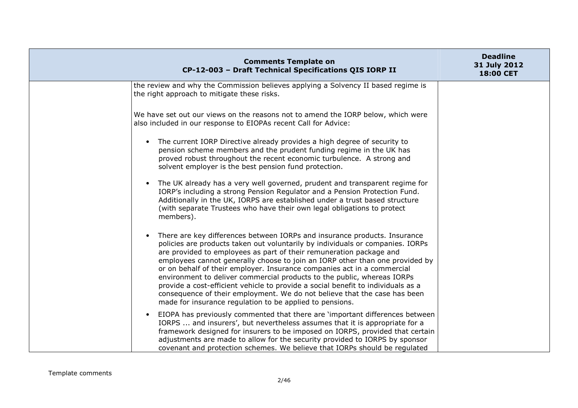| <b>Comments Template on</b><br>CP-12-003 - Draft Technical Specifications QIS IORP II                                                                                                                                                                                                                                                                                                                                                                                                                                                                                                                                                                                                                 | <b>Deadline</b><br>31 July 2012<br>18:00 CET |
|-------------------------------------------------------------------------------------------------------------------------------------------------------------------------------------------------------------------------------------------------------------------------------------------------------------------------------------------------------------------------------------------------------------------------------------------------------------------------------------------------------------------------------------------------------------------------------------------------------------------------------------------------------------------------------------------------------|----------------------------------------------|
| the review and why the Commission believes applying a Solvency II based regime is<br>the right approach to mitigate these risks.                                                                                                                                                                                                                                                                                                                                                                                                                                                                                                                                                                      |                                              |
| We have set out our views on the reasons not to amend the IORP below, which were<br>also included in our response to EIOPAs recent Call for Advice:                                                                                                                                                                                                                                                                                                                                                                                                                                                                                                                                                   |                                              |
| The current IORP Directive already provides a high degree of security to<br>$\bullet$<br>pension scheme members and the prudent funding regime in the UK has<br>proved robust throughout the recent economic turbulence. A strong and<br>solvent employer is the best pension fund protection.                                                                                                                                                                                                                                                                                                                                                                                                        |                                              |
| The UK already has a very well governed, prudent and transparent regime for<br>$\bullet$<br>IORP's including a strong Pension Regulator and a Pension Protection Fund.<br>Additionally in the UK, IORPS are established under a trust based structure<br>(with separate Trustees who have their own legal obligations to protect<br>members).                                                                                                                                                                                                                                                                                                                                                         |                                              |
| There are key differences between IORPs and insurance products. Insurance<br>policies are products taken out voluntarily by individuals or companies. IORPs<br>are provided to employees as part of their remuneration package and<br>employees cannot generally choose to join an IORP other than one provided by<br>or on behalf of their employer. Insurance companies act in a commercial<br>environment to deliver commercial products to the public, whereas IORPs<br>provide a cost-efficient vehicle to provide a social benefit to individuals as a<br>consequence of their employment. We do not believe that the case has been<br>made for insurance regulation to be applied to pensions. |                                              |
| EIOPA has previously commented that there are 'important differences between<br>IORPS  and insurers', but nevertheless assumes that it is appropriate for a<br>framework designed for insurers to be imposed on IORPS, provided that certain<br>adjustments are made to allow for the security provided to IORPS by sponsor<br>covenant and protection schemes. We believe that IORPs should be regulated                                                                                                                                                                                                                                                                                             |                                              |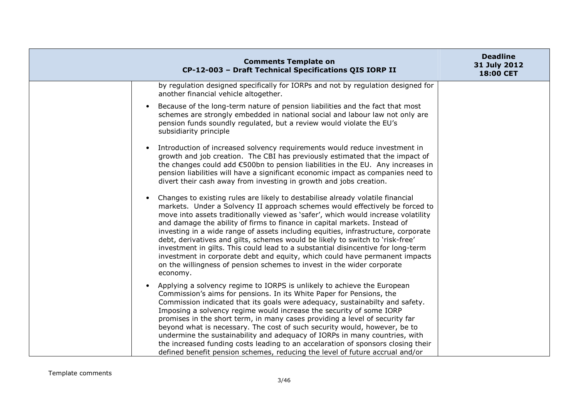| <b>Comments Template on</b><br>CP-12-003 - Draft Technical Specifications QIS IORP II                                                                                                                                                                                                                                                                                                                                                                                                                                                                                                                                                                                                                                                                           | <b>Deadline</b><br>31 July 2012<br>18:00 CET |
|-----------------------------------------------------------------------------------------------------------------------------------------------------------------------------------------------------------------------------------------------------------------------------------------------------------------------------------------------------------------------------------------------------------------------------------------------------------------------------------------------------------------------------------------------------------------------------------------------------------------------------------------------------------------------------------------------------------------------------------------------------------------|----------------------------------------------|
| by regulation designed specifically for IORPs and not by regulation designed for<br>another financial vehicle altogether.                                                                                                                                                                                                                                                                                                                                                                                                                                                                                                                                                                                                                                       |                                              |
| Because of the long-term nature of pension liabilities and the fact that most<br>schemes are strongly embedded in national social and labour law not only are<br>pension funds soundly regulated, but a review would violate the EU's<br>subsidiarity principle                                                                                                                                                                                                                                                                                                                                                                                                                                                                                                 |                                              |
| Introduction of increased solvency requirements would reduce investment in<br>growth and job creation. The CBI has previously estimated that the impact of<br>the changes could add €500bn to pension liabilities in the EU. Any increases in<br>pension liabilities will have a significant economic impact as companies need to<br>divert their cash away from investing in growth and jobs creation.                                                                                                                                                                                                                                                                                                                                                         |                                              |
| Changes to existing rules are likely to destabilise already volatile financial<br>markets. Under a Solvency II approach schemes would effectively be forced to<br>move into assets traditionally viewed as 'safer', which would increase volatility<br>and damage the ability of firms to finance in capital markets. Instead of<br>investing in a wide range of assets including equities, infrastructure, corporate<br>debt, derivatives and gilts, schemes would be likely to switch to 'risk-free'<br>investment in gilts. This could lead to a substantial disincentive for long-term<br>investment in corporate debt and equity, which could have permanent impacts<br>on the willingness of pension schemes to invest in the wider corporate<br>economy. |                                              |
| Applying a solvency regime to IORPS is unlikely to achieve the European<br>Commission's aims for pensions. In its White Paper for Pensions, the<br>Commission indicated that its goals were adequacy, sustainabilty and safety.<br>Imposing a solvency regime would increase the security of some IORP<br>promises in the short term, in many cases providing a level of security far<br>beyond what is necessary. The cost of such security would, however, be to<br>undermine the sustainability and adequacy of IORPs in many countries, with<br>the increased funding costs leading to an accelaration of sponsors closing their<br>defined benefit pension schemes, reducing the level of future accrual and/or                                            |                                              |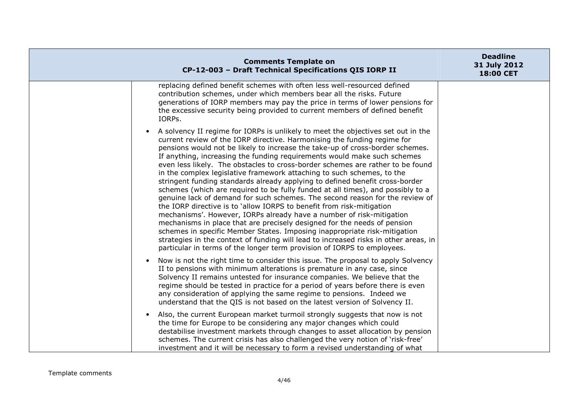| <b>Comments Template on</b><br>CP-12-003 - Draft Technical Specifications QIS IORP II                                                                                                                                                                                                                                                                                                                                                                                                                                                                                                                                                                                                                                                                                                                                                                                                                                                                                                                                                                                                                                                                                                                                 | <b>Deadline</b><br>31 July 2012<br>18:00 CET |
|-----------------------------------------------------------------------------------------------------------------------------------------------------------------------------------------------------------------------------------------------------------------------------------------------------------------------------------------------------------------------------------------------------------------------------------------------------------------------------------------------------------------------------------------------------------------------------------------------------------------------------------------------------------------------------------------------------------------------------------------------------------------------------------------------------------------------------------------------------------------------------------------------------------------------------------------------------------------------------------------------------------------------------------------------------------------------------------------------------------------------------------------------------------------------------------------------------------------------|----------------------------------------------|
| replacing defined benefit schemes with often less well-resourced defined<br>contribution schemes, under which members bear all the risks. Future<br>generations of IORP members may pay the price in terms of lower pensions for<br>the excessive security being provided to current members of defined benefit<br>IORPs.                                                                                                                                                                                                                                                                                                                                                                                                                                                                                                                                                                                                                                                                                                                                                                                                                                                                                             |                                              |
| A solvency II regime for IORPs is unlikely to meet the objectives set out in the<br>current review of the IORP directive. Harmonising the funding regime for<br>pensions would not be likely to increase the take-up of cross-border schemes.<br>If anything, increasing the funding requirements would make such schemes<br>even less likely. The obstacles to cross-border schemes are rather to be found<br>in the complex legislative framework attaching to such schemes, to the<br>stringent funding standards already applying to defined benefit cross-border<br>schemes (which are required to be fully funded at all times), and possibly to a<br>genuine lack of demand for such schemes. The second reason for the review of<br>the IORP directive is to 'allow IORPS to benefit from risk-mitigation<br>mechanisms'. However, IORPs already have a number of risk-mitigation<br>mechanisms in place that are precisely designed for the needs of pension<br>schemes in specific Member States. Imposing inappropriate risk-mitigation<br>strategies in the context of funding will lead to increased risks in other areas, in<br>particular in terms of the longer term provision of IORPS to employees. |                                              |
| Now is not the right time to consider this issue. The proposal to apply Solvency<br>II to pensions with minimum alterations is premature in any case, since<br>Solvency II remains untested for insurance companies. We believe that the<br>regime should be tested in practice for a period of years before there is even<br>any consideration of applying the same regime to pensions. Indeed we<br>understand that the QIS is not based on the latest version of Solvency II.                                                                                                                                                                                                                                                                                                                                                                                                                                                                                                                                                                                                                                                                                                                                      |                                              |
| Also, the current European market turmoil strongly suggests that now is not<br>the time for Europe to be considering any major changes which could<br>destabilise investment markets through changes to asset allocation by pension<br>schemes. The current crisis has also challenged the very notion of 'risk-free'<br>investment and it will be necessary to form a revised understanding of what                                                                                                                                                                                                                                                                                                                                                                                                                                                                                                                                                                                                                                                                                                                                                                                                                  |                                              |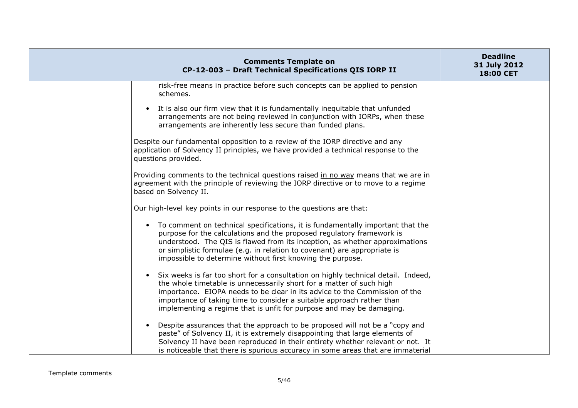| <b>Comments Template on</b><br>CP-12-003 - Draft Technical Specifications QIS IORP II                                                                                                                                                                                                                                                                                                                 | <b>Deadline</b><br>31 July 2012<br>18:00 CET |
|-------------------------------------------------------------------------------------------------------------------------------------------------------------------------------------------------------------------------------------------------------------------------------------------------------------------------------------------------------------------------------------------------------|----------------------------------------------|
| risk-free means in practice before such concepts can be applied to pension<br>schemes.                                                                                                                                                                                                                                                                                                                |                                              |
| It is also our firm view that it is fundamentally inequitable that unfunded<br>arrangements are not being reviewed in conjunction with IORPs, when these<br>arrangements are inherently less secure than funded plans.                                                                                                                                                                                |                                              |
| Despite our fundamental opposition to a review of the IORP directive and any<br>application of Solvency II principles, we have provided a technical response to the<br>questions provided.                                                                                                                                                                                                            |                                              |
| Providing comments to the technical questions raised in no way means that we are in<br>agreement with the principle of reviewing the IORP directive or to move to a regime<br>based on Solvency II.                                                                                                                                                                                                   |                                              |
| Our high-level key points in our response to the questions are that:                                                                                                                                                                                                                                                                                                                                  |                                              |
| • To comment on technical specifications, it is fundamentally important that the<br>purpose for the calculations and the proposed regulatory framework is<br>understood. The QIS is flawed from its inception, as whether approximations<br>or simplistic formulae (e.g. in relation to covenant) are appropriate is<br>impossible to determine without first knowing the purpose.                    |                                              |
| Six weeks is far too short for a consultation on highly technical detail. Indeed,<br>$\bullet$<br>the whole timetable is unnecessarily short for a matter of such high<br>importance. EIOPA needs to be clear in its advice to the Commission of the<br>importance of taking time to consider a suitable approach rather than<br>implementing a regime that is unfit for purpose and may be damaging. |                                              |
| Despite assurances that the approach to be proposed will not be a "copy and<br>paste" of Solvency II, it is extremely disappointing that large elements of<br>Solvency II have been reproduced in their entirety whether relevant or not. It<br>is noticeable that there is spurious accuracy in some areas that are immaterial                                                                       |                                              |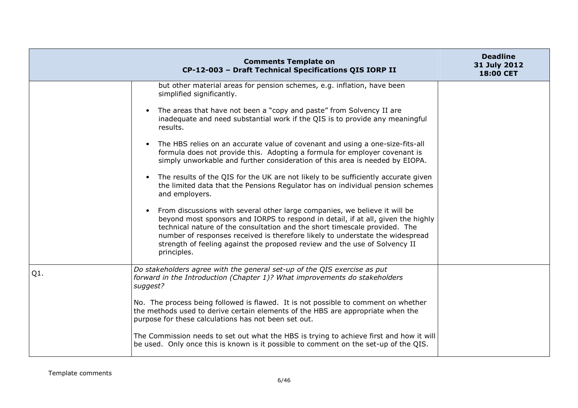|        | <b>Comments Template on</b><br>CP-12-003 - Draft Technical Specifications QIS IORP II                                                                                                                                                                                                                                                                                                                                      | <b>Deadline</b><br>31 July 2012<br>18:00 CET |
|--------|----------------------------------------------------------------------------------------------------------------------------------------------------------------------------------------------------------------------------------------------------------------------------------------------------------------------------------------------------------------------------------------------------------------------------|----------------------------------------------|
|        | but other material areas for pension schemes, e.g. inflation, have been<br>simplified significantly.                                                                                                                                                                                                                                                                                                                       |                                              |
|        | The areas that have not been a "copy and paste" from Solvency II are<br>inadequate and need substantial work if the QIS is to provide any meaningful<br>results.                                                                                                                                                                                                                                                           |                                              |
|        | The HBS relies on an accurate value of covenant and using a one-size-fits-all<br>formula does not provide this. Adopting a formula for employer covenant is<br>simply unworkable and further consideration of this area is needed by EIOPA.                                                                                                                                                                                |                                              |
|        | The results of the QIS for the UK are not likely to be sufficiently accurate given<br>the limited data that the Pensions Regulator has on individual pension schemes<br>and employers.                                                                                                                                                                                                                                     |                                              |
|        | From discussions with several other large companies, we believe it will be<br>beyond most sponsors and IORPS to respond in detail, if at all, given the highly<br>technical nature of the consultation and the short timescale provided. The<br>number of responses received is therefore likely to understate the widespread<br>strength of feeling against the proposed review and the use of Solvency II<br>principles. |                                              |
| $Q1$ . | Do stakeholders agree with the general set-up of the QIS exercise as put<br>forward in the Introduction (Chapter 1)? What improvements do stakeholders<br>suggest?                                                                                                                                                                                                                                                         |                                              |
|        | No. The process being followed is flawed. It is not possible to comment on whether<br>the methods used to derive certain elements of the HBS are appropriate when the<br>purpose for these calculations has not been set out.                                                                                                                                                                                              |                                              |
|        | The Commission needs to set out what the HBS is trying to achieve first and how it will<br>be used. Only once this is known is it possible to comment on the set-up of the QIS.                                                                                                                                                                                                                                            |                                              |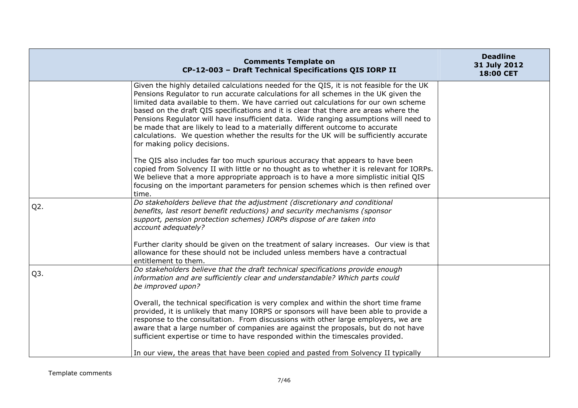|                  | <b>Comments Template on</b><br>CP-12-003 - Draft Technical Specifications QIS IORP II                                                                                                                                                                                                                                                                                                                                                                                                                                                                                                                                                                              | <b>Deadline</b><br>31 July 2012<br>18:00 CET |
|------------------|--------------------------------------------------------------------------------------------------------------------------------------------------------------------------------------------------------------------------------------------------------------------------------------------------------------------------------------------------------------------------------------------------------------------------------------------------------------------------------------------------------------------------------------------------------------------------------------------------------------------------------------------------------------------|----------------------------------------------|
|                  | Given the highly detailed calculations needed for the QIS, it is not feasible for the UK<br>Pensions Regulator to run accurate calculations for all schemes in the UK given the<br>limited data available to them. We have carried out calculations for our own scheme<br>based on the draft QIS specifications and it is clear that there are areas where the<br>Pensions Regulator will have insufficient data. Wide ranging assumptions will need to<br>be made that are likely to lead to a materially different outcome to accurate<br>calculations. We question whether the results for the UK will be sufficiently accurate<br>for making policy decisions. |                                              |
|                  | The QIS also includes far too much spurious accuracy that appears to have been<br>copied from Solvency II with little or no thought as to whether it is relevant for IORPs.<br>We believe that a more appropriate approach is to have a more simplistic initial QIS<br>focusing on the important parameters for pension schemes which is then refined over<br>time.                                                                                                                                                                                                                                                                                                |                                              |
| $Q2$ .           | Do stakeholders believe that the adjustment (discretionary and conditional<br>benefits, last resort benefit reductions) and security mechanisms (sponsor<br>support, pension protection schemes) IORPs dispose of are taken into<br>account adequately?                                                                                                                                                                                                                                                                                                                                                                                                            |                                              |
|                  | Further clarity should be given on the treatment of salary increases. Our view is that<br>allowance for these should not be included unless members have a contractual<br>entitlement to them.                                                                                                                                                                                                                                                                                                                                                                                                                                                                     |                                              |
| Q <sub>3</sub> . | Do stakeholders believe that the draft technical specifications provide enough<br>information and are sufficiently clear and understandable? Which parts could<br>be improved upon?                                                                                                                                                                                                                                                                                                                                                                                                                                                                                |                                              |
|                  | Overall, the technical specification is very complex and within the short time frame<br>provided, it is unlikely that many IORPS or sponsors will have been able to provide a<br>response to the consultation. From discussions with other large employers, we are<br>aware that a large number of companies are against the proposals, but do not have<br>sufficient expertise or time to have responded within the timescales provided.                                                                                                                                                                                                                          |                                              |
|                  | In our view, the areas that have been copied and pasted from Solvency II typically                                                                                                                                                                                                                                                                                                                                                                                                                                                                                                                                                                                 |                                              |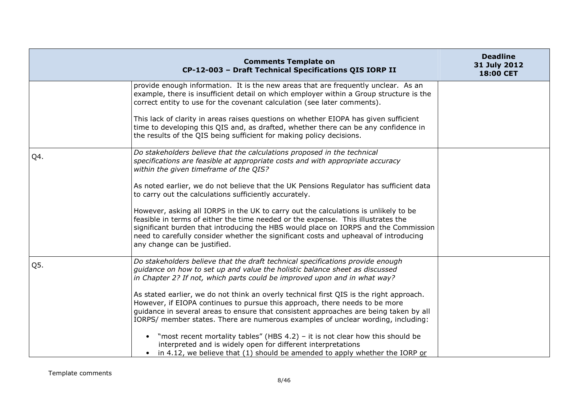|     | <b>Comments Template on</b><br>CP-12-003 - Draft Technical Specifications QIS IORP II                                                                                                                                                                                                                                                                                                  | <b>Deadline</b><br>31 July 2012<br>18:00 CET |
|-----|----------------------------------------------------------------------------------------------------------------------------------------------------------------------------------------------------------------------------------------------------------------------------------------------------------------------------------------------------------------------------------------|----------------------------------------------|
|     | provide enough information. It is the new areas that are frequently unclear. As an<br>example, there is insufficient detail on which employer within a Group structure is the<br>correct entity to use for the covenant calculation (see later comments).                                                                                                                              |                                              |
|     | This lack of clarity in areas raises questions on whether EIOPA has given sufficient<br>time to developing this QIS and, as drafted, whether there can be any confidence in<br>the results of the QIS being sufficient for making policy decisions.                                                                                                                                    |                                              |
| Q4. | Do stakeholders believe that the calculations proposed in the technical<br>specifications are feasible at appropriate costs and with appropriate accuracy<br>within the given timeframe of the QIS?                                                                                                                                                                                    |                                              |
|     | As noted earlier, we do not believe that the UK Pensions Regulator has sufficient data<br>to carry out the calculations sufficiently accurately.                                                                                                                                                                                                                                       |                                              |
|     | However, asking all IORPS in the UK to carry out the calculations is unlikely to be<br>feasible in terms of either the time needed or the expense. This illustrates the<br>significant burden that introducing the HBS would place on IORPS and the Commission<br>need to carefully consider whether the significant costs and upheaval of introducing<br>any change can be justified. |                                              |
| Q5. | Do stakeholders believe that the draft technical specifications provide enough<br>guidance on how to set up and value the holistic balance sheet as discussed<br>in Chapter 2? If not, which parts could be improved upon and in what way?                                                                                                                                             |                                              |
|     | As stated earlier, we do not think an overly technical first QIS is the right approach.<br>However, if EIOPA continues to pursue this approach, there needs to be more<br>guidance in several areas to ensure that consistent approaches are being taken by all<br>IORPS/ member states. There are numerous examples of unclear wording, including:                                    |                                              |
|     | • "most recent mortality tables" (HBS 4.2) – it is not clear how this should be<br>interpreted and is widely open for different interpretations<br>• in 4.12, we believe that (1) should be amended to apply whether the IORP or                                                                                                                                                       |                                              |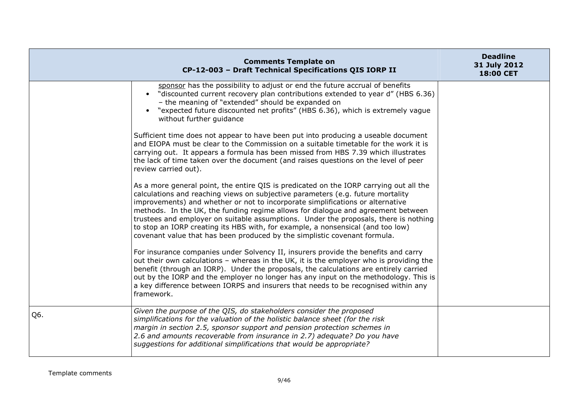|     | <b>Comments Template on</b><br>CP-12-003 - Draft Technical Specifications QIS IORP II                                                                                                                                                                                                                                                                                                                                                                                                                                                                                                                   | <b>Deadline</b><br>31 July 2012<br>18:00 CET |
|-----|---------------------------------------------------------------------------------------------------------------------------------------------------------------------------------------------------------------------------------------------------------------------------------------------------------------------------------------------------------------------------------------------------------------------------------------------------------------------------------------------------------------------------------------------------------------------------------------------------------|----------------------------------------------|
|     | sponsor has the possibility to adjust or end the future accrual of benefits<br>• "discounted current recovery plan contributions extended to year d" (HBS 6.36)<br>- the meaning of "extended" should be expanded on<br>• "expected future discounted net profits" (HBS 6.36), which is extremely vague<br>without further guidance                                                                                                                                                                                                                                                                     |                                              |
|     | Sufficient time does not appear to have been put into producing a useable document<br>and EIOPA must be clear to the Commission on a suitable timetable for the work it is<br>carrying out. It appears a formula has been missed from HBS 7.39 which illustrates<br>the lack of time taken over the document (and raises questions on the level of peer<br>review carried out).                                                                                                                                                                                                                         |                                              |
|     | As a more general point, the entire QIS is predicated on the IORP carrying out all the<br>calculations and reaching views on subjective parameters (e.g. future mortality<br>improvements) and whether or not to incorporate simplifications or alternative<br>methods. In the UK, the funding regime allows for dialogue and agreement between<br>trustees and employer on suitable assumptions. Under the proposals, there is nothing<br>to stop an IORP creating its HBS with, for example, a nonsensical (and too low)<br>covenant value that has been produced by the simplistic covenant formula. |                                              |
|     | For insurance companies under Solvency II, insurers provide the benefits and carry<br>out their own calculations - whereas in the UK, it is the employer who is providing the<br>benefit (through an IORP). Under the proposals, the calculations are entirely carried<br>out by the IORP and the employer no longer has any input on the methodology. This is<br>a key difference between IORPS and insurers that needs to be recognised within any<br>framework.                                                                                                                                      |                                              |
| Q6. | Given the purpose of the QIS, do stakeholders consider the proposed<br>simplifications for the valuation of the holistic balance sheet (for the risk<br>margin in section 2.5, sponsor support and pension protection schemes in<br>2.6 and amounts recoverable from insurance in 2.7) adequate? Do you have<br>suggestions for additional simplifications that would be appropriate?                                                                                                                                                                                                                   |                                              |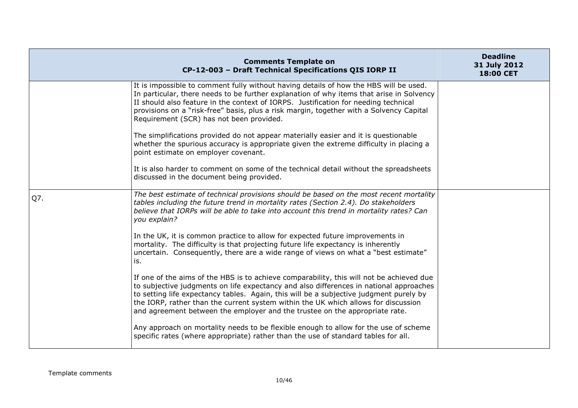|     | <b>Comments Template on</b><br>CP-12-003 - Draft Technical Specifications QIS IORP II                                                                                                                                                                                                                                                                                                                                                             | <b>Deadline</b><br>31 July 2012<br>18:00 CET |
|-----|---------------------------------------------------------------------------------------------------------------------------------------------------------------------------------------------------------------------------------------------------------------------------------------------------------------------------------------------------------------------------------------------------------------------------------------------------|----------------------------------------------|
|     | It is impossible to comment fully without having details of how the HBS will be used.<br>In particular, there needs to be further explanation of why items that arise in Solvency<br>II should also feature in the context of IORPS. Justification for needing technical<br>provisions on a "risk-free" basis, plus a risk margin, together with a Solvency Capital<br>Requirement (SCR) has not been provided.                                   |                                              |
|     | The simplifications provided do not appear materially easier and it is questionable<br>whether the spurious accuracy is appropriate given the extreme difficulty in placing a<br>point estimate on employer covenant.                                                                                                                                                                                                                             |                                              |
|     | It is also harder to comment on some of the technical detail without the spreadsheets<br>discussed in the document being provided.                                                                                                                                                                                                                                                                                                                |                                              |
| Q7. | The best estimate of technical provisions should be based on the most recent mortality<br>tables including the future trend in mortality rates (Section 2.4). Do stakeholders<br>believe that IORPs will be able to take into account this trend in mortality rates? Can<br>you explain?                                                                                                                                                          |                                              |
|     | In the UK, it is common practice to allow for expected future improvements in<br>mortality. The difficulty is that projecting future life expectancy is inherently<br>uncertain. Consequently, there are a wide range of views on what a "best estimate"<br>is.                                                                                                                                                                                   |                                              |
|     | If one of the aims of the HBS is to achieve comparability, this will not be achieved due<br>to subjective judgments on life expectancy and also differences in national approaches<br>to setting life expectancy tables. Again, this will be a subjective judgment purely by<br>the IORP, rather than the current system within the UK which allows for discussion<br>and agreement between the employer and the trustee on the appropriate rate. |                                              |
|     | Any approach on mortality needs to be flexible enough to allow for the use of scheme<br>specific rates (where appropriate) rather than the use of standard tables for all.                                                                                                                                                                                                                                                                        |                                              |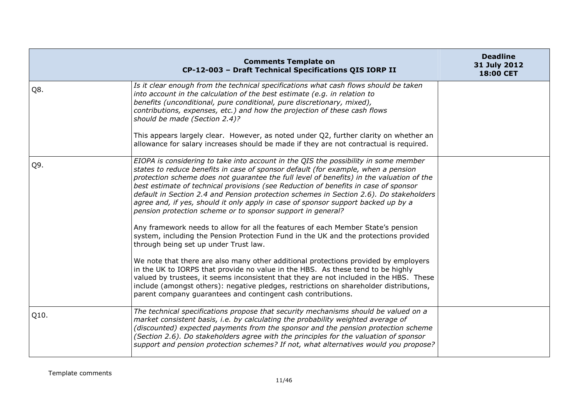|      | <b>Comments Template on</b><br>CP-12-003 - Draft Technical Specifications QIS IORP II                                                                                                                                                                                                                                                                                                                                                                                                                                                                                                                                                                                                         | <b>Deadline</b><br>31 July 2012<br>18:00 CET |
|------|-----------------------------------------------------------------------------------------------------------------------------------------------------------------------------------------------------------------------------------------------------------------------------------------------------------------------------------------------------------------------------------------------------------------------------------------------------------------------------------------------------------------------------------------------------------------------------------------------------------------------------------------------------------------------------------------------|----------------------------------------------|
| Q8.  | Is it clear enough from the technical specifications what cash flows should be taken<br>into account in the calculation of the best estimate (e.g. in relation to<br>benefits (unconditional, pure conditional, pure discretionary, mixed),<br>contributions, expenses, etc.) and how the projection of these cash flows<br>should be made (Section 2.4)?<br>This appears largely clear. However, as noted under Q2, further clarity on whether an                                                                                                                                                                                                                                            |                                              |
|      | allowance for salary increases should be made if they are not contractual is required.                                                                                                                                                                                                                                                                                                                                                                                                                                                                                                                                                                                                        |                                              |
| Q9.  | EIOPA is considering to take into account in the QIS the possibility in some member<br>states to reduce benefits in case of sponsor default (for example, when a pension<br>protection scheme does not guarantee the full level of benefits) in the valuation of the<br>best estimate of technical provisions (see Reduction of benefits in case of sponsor<br>default in Section 2.4 and Pension protection schemes in Section 2.6). Do stakeholders<br>agree and, if yes, should it only apply in case of sponsor support backed up by a<br>pension protection scheme or to sponsor support in general?<br>Any framework needs to allow for all the features of each Member State's pension |                                              |
|      | system, including the Pension Protection Fund in the UK and the protections provided<br>through being set up under Trust law.                                                                                                                                                                                                                                                                                                                                                                                                                                                                                                                                                                 |                                              |
|      | We note that there are also many other additional protections provided by employers<br>in the UK to IORPS that provide no value in the HBS. As these tend to be highly<br>valued by trustees, it seems inconsistent that they are not included in the HBS. These<br>include (amongst others): negative pledges, restrictions on shareholder distributions,<br>parent company guarantees and contingent cash contributions.                                                                                                                                                                                                                                                                    |                                              |
| Q10. | The technical specifications propose that security mechanisms should be valued on a<br>market consistent basis, i.e. by calculating the probability weighted average of<br>(discounted) expected payments from the sponsor and the pension protection scheme<br>(Section 2.6). Do stakeholders agree with the principles for the valuation of sponsor<br>support and pension protection schemes? If not, what alternatives would you propose?                                                                                                                                                                                                                                                 |                                              |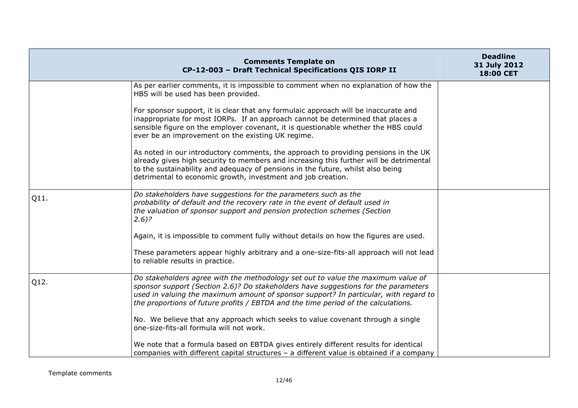|      | <b>Comments Template on</b><br>CP-12-003 - Draft Technical Specifications QIS IORP II                                                                                                                                                                                                                                                                | <b>Deadline</b><br>31 July 2012<br>18:00 CET |
|------|------------------------------------------------------------------------------------------------------------------------------------------------------------------------------------------------------------------------------------------------------------------------------------------------------------------------------------------------------|----------------------------------------------|
|      | As per earlier comments, it is impossible to comment when no explanation of how the<br>HBS will be used has been provided.                                                                                                                                                                                                                           |                                              |
|      | For sponsor support, it is clear that any formulaic approach will be inaccurate and<br>inappropriate for most IORPs. If an approach cannot be determined that places a<br>sensible figure on the employer covenant, it is questionable whether the HBS could<br>ever be an improvement on the existing UK regime.                                    |                                              |
|      | As noted in our introductory comments, the approach to providing pensions in the UK<br>already gives high security to members and increasing this further will be detrimental<br>to the sustainability and adequacy of pensions in the future, whilst also being<br>detrimental to economic growth, investment and job creation.                     |                                              |
| Q11. | Do stakeholders have suggestions for the parameters such as the<br>probability of default and the recovery rate in the event of default used in<br>the valuation of sponsor support and pension protection schemes (Section<br>$2.6$ ?                                                                                                               |                                              |
|      | Again, it is impossible to comment fully without details on how the figures are used.                                                                                                                                                                                                                                                                |                                              |
|      | These parameters appear highly arbitrary and a one-size-fits-all approach will not lead<br>to reliable results in practice.                                                                                                                                                                                                                          |                                              |
| Q12. | Do stakeholders agree with the methodology set out to value the maximum value of<br>sponsor support (Section 2.6)? Do stakeholders have suggestions for the parameters<br>used in valuing the maximum amount of sponsor support? In particular, with regard to<br>the proportions of future profits / EBTDA and the time period of the calculations. |                                              |
|      | No. We believe that any approach which seeks to value covenant through a single<br>one-size-fits-all formula will not work.                                                                                                                                                                                                                          |                                              |
|      | We note that a formula based on EBTDA gives entirely different results for identical<br>companies with different capital structures - a different value is obtained if a company                                                                                                                                                                     |                                              |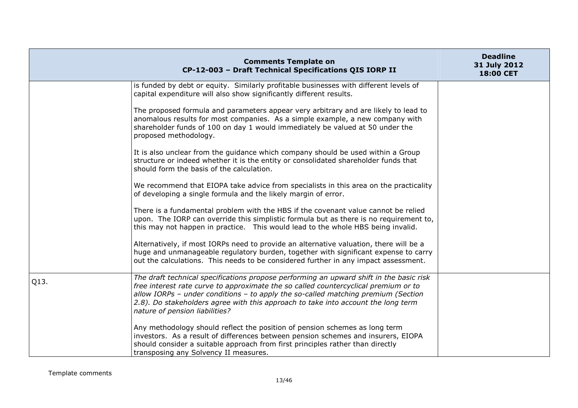|      | <b>Comments Template on</b><br>CP-12-003 - Draft Technical Specifications QIS IORP II                                                                                                                                                                                                                                                                                                      | <b>Deadline</b><br>31 July 2012<br>18:00 CET |
|------|--------------------------------------------------------------------------------------------------------------------------------------------------------------------------------------------------------------------------------------------------------------------------------------------------------------------------------------------------------------------------------------------|----------------------------------------------|
|      | is funded by debt or equity. Similarly profitable businesses with different levels of<br>capital expenditure will also show significantly different results.                                                                                                                                                                                                                               |                                              |
|      | The proposed formula and parameters appear very arbitrary and are likely to lead to<br>anomalous results for most companies. As a simple example, a new company with<br>shareholder funds of 100 on day 1 would immediately be valued at 50 under the<br>proposed methodology.                                                                                                             |                                              |
|      | It is also unclear from the guidance which company should be used within a Group<br>structure or indeed whether it is the entity or consolidated shareholder funds that<br>should form the basis of the calculation.                                                                                                                                                                       |                                              |
|      | We recommend that EIOPA take advice from specialists in this area on the practicality<br>of developing a single formula and the likely margin of error.                                                                                                                                                                                                                                    |                                              |
|      | There is a fundamental problem with the HBS if the covenant value cannot be relied<br>upon. The IORP can override this simplistic formula but as there is no requirement to,<br>this may not happen in practice. This would lead to the whole HBS being invalid.                                                                                                                           |                                              |
|      | Alternatively, if most IORPs need to provide an alternative valuation, there will be a<br>huge and unmanageable regulatory burden, together with significant expense to carry<br>out the calculations. This needs to be considered further in any impact assessment.                                                                                                                       |                                              |
| Q13. | The draft technical specifications propose performing an upward shift in the basic risk<br>free interest rate curve to approximate the so called countercyclical premium or to<br>allow IORPs - under conditions - to apply the so-called matching premium (Section<br>2.8). Do stakeholders agree with this approach to take into account the long term<br>nature of pension liabilities? |                                              |
|      | Any methodology should reflect the position of pension schemes as long term<br>investors. As a result of differences between pension schemes and insurers, EIOPA<br>should consider a suitable approach from first principles rather than directly<br>transposing any Solvency II measures.                                                                                                |                                              |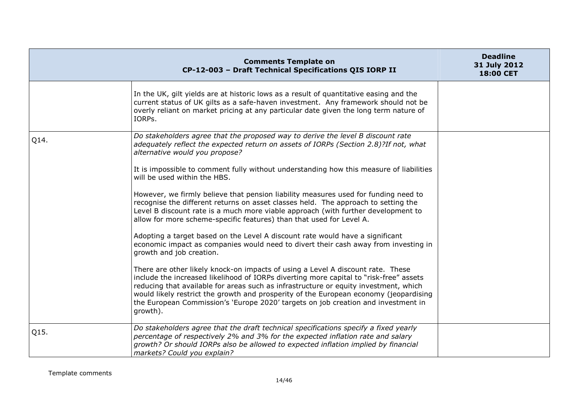|      | <b>Comments Template on</b><br>CP-12-003 - Draft Technical Specifications QIS IORP II                                                                                                                                                                                                                                                                                                                                                                       | <b>Deadline</b><br>31 July 2012<br>18:00 CET |
|------|-------------------------------------------------------------------------------------------------------------------------------------------------------------------------------------------------------------------------------------------------------------------------------------------------------------------------------------------------------------------------------------------------------------------------------------------------------------|----------------------------------------------|
|      | In the UK, gilt yields are at historic lows as a result of quantitative easing and the<br>current status of UK gilts as a safe-haven investment. Any framework should not be<br>overly reliant on market pricing at any particular date given the long term nature of<br>IORPs.                                                                                                                                                                             |                                              |
| Q14. | Do stakeholders agree that the proposed way to derive the level B discount rate<br>adequately reflect the expected return on assets of IORPs (Section 2.8)?If not, what<br>alternative would you propose?                                                                                                                                                                                                                                                   |                                              |
|      | It is impossible to comment fully without understanding how this measure of liabilities<br>will be used within the HBS.                                                                                                                                                                                                                                                                                                                                     |                                              |
|      | However, we firmly believe that pension liability measures used for funding need to<br>recognise the different returns on asset classes held. The approach to setting the<br>Level B discount rate is a much more viable approach (with further development to<br>allow for more scheme-specific features) than that used for Level A.                                                                                                                      |                                              |
|      | Adopting a target based on the Level A discount rate would have a significant<br>economic impact as companies would need to divert their cash away from investing in<br>growth and job creation.                                                                                                                                                                                                                                                            |                                              |
|      | There are other likely knock-on impacts of using a Level A discount rate. These<br>include the increased likelihood of IORPs diverting more capital to "risk-free" assets<br>reducing that available for areas such as infrastructure or equity investment, which<br>would likely restrict the growth and prosperity of the European economy (jeopardising<br>the European Commission's 'Europe 2020' targets on job creation and investment in<br>growth). |                                              |
| Q15. | Do stakeholders agree that the draft technical specifications specify a fixed yearly<br>percentage of respectively 2% and 3% for the expected inflation rate and salary<br>growth? Or should IORPs also be allowed to expected inflation implied by financial<br>markets? Could you explain?                                                                                                                                                                |                                              |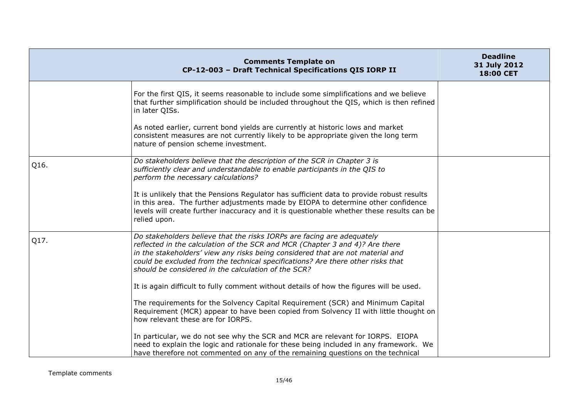|      | <b>Comments Template on</b><br>CP-12-003 - Draft Technical Specifications QIS IORP II                                                                                                                                                                                                                                                                                              | <b>Deadline</b><br>31 July 2012<br>18:00 CET |
|------|------------------------------------------------------------------------------------------------------------------------------------------------------------------------------------------------------------------------------------------------------------------------------------------------------------------------------------------------------------------------------------|----------------------------------------------|
|      | For the first QIS, it seems reasonable to include some simplifications and we believe<br>that further simplification should be included throughout the QIS, which is then refined<br>in later QISs.                                                                                                                                                                                |                                              |
|      | As noted earlier, current bond yields are currently at historic lows and market<br>consistent measures are not currently likely to be appropriate given the long term<br>nature of pension scheme investment.                                                                                                                                                                      |                                              |
| Q16. | Do stakeholders believe that the description of the SCR in Chapter 3 is<br>sufficiently clear and understandable to enable participants in the QIS to<br>perform the necessary calculations?                                                                                                                                                                                       |                                              |
|      | It is unlikely that the Pensions Regulator has sufficient data to provide robust results<br>in this area. The further adjustments made by EIOPA to determine other confidence<br>levels will create further inaccuracy and it is questionable whether these results can be<br>relied upon.                                                                                         |                                              |
| Q17. | Do stakeholders believe that the risks IORPs are facing are adequately<br>reflected in the calculation of the SCR and MCR (Chapter 3 and 4)? Are there<br>in the stakeholders' view any risks being considered that are not material and<br>could be excluded from the technical specifications? Are there other risks that<br>should be considered in the calculation of the SCR? |                                              |
|      | It is again difficult to fully comment without details of how the figures will be used.                                                                                                                                                                                                                                                                                            |                                              |
|      | The requirements for the Solvency Capital Requirement (SCR) and Minimum Capital<br>Requirement (MCR) appear to have been copied from Solvency II with little thought on<br>how relevant these are for IORPS.                                                                                                                                                                       |                                              |
|      | In particular, we do not see why the SCR and MCR are relevant for IORPS. EIOPA<br>need to explain the logic and rationale for these being included in any framework. We<br>have therefore not commented on any of the remaining questions on the technical                                                                                                                         |                                              |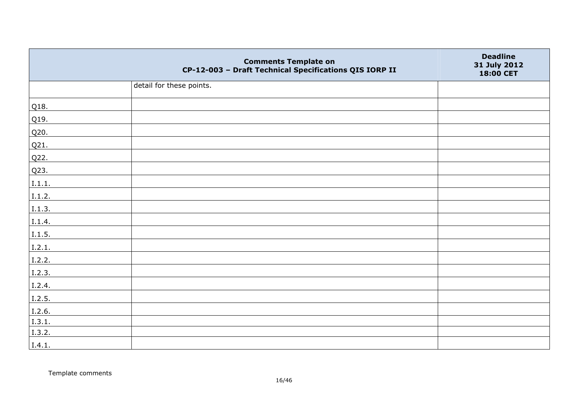|                | <b>Comments Template on</b><br>CP-12-003 - Draft Technical Specifications QIS IORP II | <b>Deadline</b><br>31 July 2012<br>18:00 CET |
|----------------|---------------------------------------------------------------------------------------|----------------------------------------------|
|                | detail for these points.                                                              |                                              |
| Q18.           |                                                                                       |                                              |
| Q19.           |                                                                                       |                                              |
| Q20.           |                                                                                       |                                              |
| Q21.           |                                                                                       |                                              |
| Q22.           |                                                                                       |                                              |
| Q23.           |                                                                                       |                                              |
| 1.1.1.         |                                                                                       |                                              |
| I.1.2.         |                                                                                       |                                              |
| I.1.3.         |                                                                                       |                                              |
| I.1.4.         |                                                                                       |                                              |
| I.1.5.         |                                                                                       |                                              |
| 1.2.1.         |                                                                                       |                                              |
| 1.2.2.         |                                                                                       |                                              |
| 1.2.3.         |                                                                                       |                                              |
| $\vert$ I.2.4. |                                                                                       |                                              |
| I.2.5.         |                                                                                       |                                              |
| I.2.6.         |                                                                                       |                                              |
| I.3.1.         |                                                                                       |                                              |
| I.3.2.         |                                                                                       |                                              |
| I.4.1.         |                                                                                       |                                              |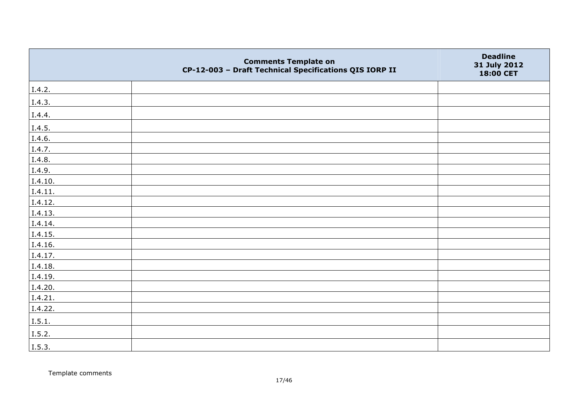|         | <b>Comments Template on</b><br>CP-12-003 - Draft Technical Specifications QIS IORP II | <b>Deadline</b><br>31 July 2012<br>18:00 CET |
|---------|---------------------------------------------------------------------------------------|----------------------------------------------|
| I.4.2.  |                                                                                       |                                              |
| I.4.3.  |                                                                                       |                                              |
| I.4.4.  |                                                                                       |                                              |
| I.4.5.  |                                                                                       |                                              |
| I.4.6.  |                                                                                       |                                              |
| I.4.7.  |                                                                                       |                                              |
| I.4.8.  |                                                                                       |                                              |
| I.4.9.  |                                                                                       |                                              |
| I.4.10. |                                                                                       |                                              |
| I.4.11. |                                                                                       |                                              |
| I.4.12. |                                                                                       |                                              |
| I.4.13. |                                                                                       |                                              |
| I.4.14. |                                                                                       |                                              |
| I.4.15. |                                                                                       |                                              |
| I.4.16. |                                                                                       |                                              |
| I.4.17. |                                                                                       |                                              |
| I.4.18. |                                                                                       |                                              |
| I.4.19. |                                                                                       |                                              |
| I.4.20. |                                                                                       |                                              |
| I.4.21. |                                                                                       |                                              |
| I.4.22. |                                                                                       |                                              |
| I.5.1.  |                                                                                       |                                              |
| I.5.2.  |                                                                                       |                                              |
| I.5.3.  |                                                                                       |                                              |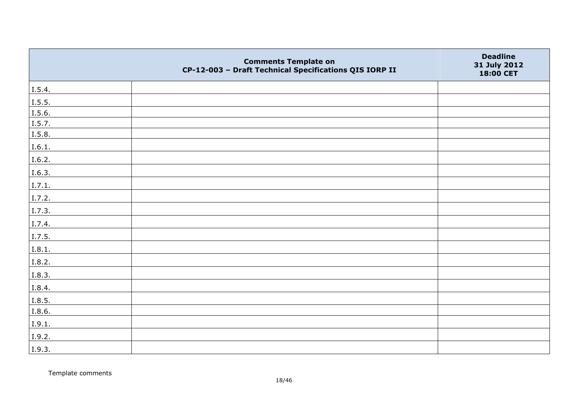|        | <b>Comments Template on</b><br>CP-12-003 - Draft Technical Specifications QIS IORP II | <b>Deadline</b><br>31 July 2012<br>18:00 CET |
|--------|---------------------------------------------------------------------------------------|----------------------------------------------|
| I.5.4. |                                                                                       |                                              |
| I.5.5. |                                                                                       |                                              |
| I.5.6. |                                                                                       |                                              |
| I.5.7. |                                                                                       |                                              |
| I.5.8. |                                                                                       |                                              |
| I.6.1. |                                                                                       |                                              |
| I.6.2. |                                                                                       |                                              |
| I.6.3. |                                                                                       |                                              |
| I.7.1. |                                                                                       |                                              |
| I.7.2. |                                                                                       |                                              |
| I.7.3. |                                                                                       |                                              |
| I.7.4. |                                                                                       |                                              |
| I.7.5. |                                                                                       |                                              |
| I.8.1. |                                                                                       |                                              |
| I.8.2. |                                                                                       |                                              |
| I.8.3. |                                                                                       |                                              |
| I.8.4. |                                                                                       |                                              |
| I.8.5. |                                                                                       |                                              |
| I.8.6. |                                                                                       |                                              |
| I.9.1. |                                                                                       |                                              |
| I.9.2. |                                                                                       |                                              |
| I.9.3. |                                                                                       |                                              |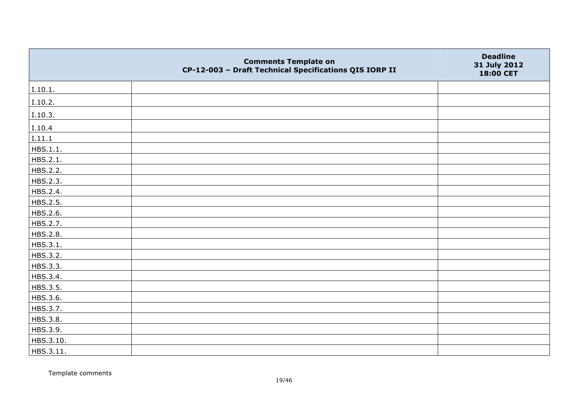|           | <b>Comments Template on</b><br>CP-12-003 - Draft Technical Specifications QIS IORP II | <b>Deadline</b><br>31 July 2012<br>18:00 CET |
|-----------|---------------------------------------------------------------------------------------|----------------------------------------------|
| I.10.1.   |                                                                                       |                                              |
| I.10.2.   |                                                                                       |                                              |
| I.10.3.   |                                                                                       |                                              |
| I.10.4    |                                                                                       |                                              |
| 1.11.1    |                                                                                       |                                              |
| HBS.1.1.  |                                                                                       |                                              |
| HBS.2.1.  |                                                                                       |                                              |
| HBS.2.2.  |                                                                                       |                                              |
| HBS.2.3.  |                                                                                       |                                              |
| HBS.2.4.  |                                                                                       |                                              |
| HBS.2.5.  |                                                                                       |                                              |
| HBS.2.6.  |                                                                                       |                                              |
| HBS.2.7.  |                                                                                       |                                              |
| HBS.2.8.  |                                                                                       |                                              |
| HBS.3.1.  |                                                                                       |                                              |
| HBS.3.2.  |                                                                                       |                                              |
| HBS.3.3.  |                                                                                       |                                              |
| HBS.3.4.  |                                                                                       |                                              |
| HBS.3.5.  |                                                                                       |                                              |
| HBS.3.6.  |                                                                                       |                                              |
| HBS.3.7.  |                                                                                       |                                              |
| HBS.3.8.  |                                                                                       |                                              |
| HBS.3.9.  |                                                                                       |                                              |
| HBS.3.10. |                                                                                       |                                              |
| HBS.3.11. |                                                                                       |                                              |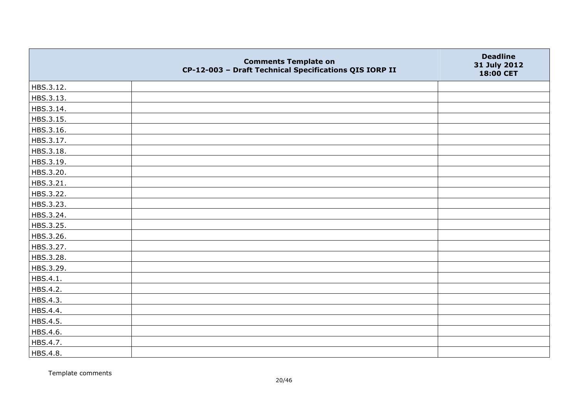|           | <b>Comments Template on</b><br>CP-12-003 - Draft Technical Specifications QIS IORP II | <b>Deadline</b><br>31 July 2012<br>18:00 CET |
|-----------|---------------------------------------------------------------------------------------|----------------------------------------------|
| HBS.3.12. |                                                                                       |                                              |
| HBS.3.13. |                                                                                       |                                              |
| HBS.3.14. |                                                                                       |                                              |
| HBS.3.15. |                                                                                       |                                              |
| HBS.3.16. |                                                                                       |                                              |
| HBS.3.17. |                                                                                       |                                              |
| HBS.3.18. |                                                                                       |                                              |
| HBS.3.19. |                                                                                       |                                              |
| HBS.3.20. |                                                                                       |                                              |
| HBS.3.21. |                                                                                       |                                              |
| HBS.3.22. |                                                                                       |                                              |
| HBS.3.23. |                                                                                       |                                              |
| HBS.3.24. |                                                                                       |                                              |
| HBS.3.25. |                                                                                       |                                              |
| HBS.3.26. |                                                                                       |                                              |
| HBS.3.27. |                                                                                       |                                              |
| HBS.3.28. |                                                                                       |                                              |
| HBS.3.29. |                                                                                       |                                              |
| HBS.4.1.  |                                                                                       |                                              |
| HBS.4.2.  |                                                                                       |                                              |
| HBS.4.3.  |                                                                                       |                                              |
| HBS.4.4.  |                                                                                       |                                              |
| HBS.4.5.  |                                                                                       |                                              |
| HBS.4.6.  |                                                                                       |                                              |
| HBS.4.7.  |                                                                                       |                                              |
| HBS.4.8.  |                                                                                       |                                              |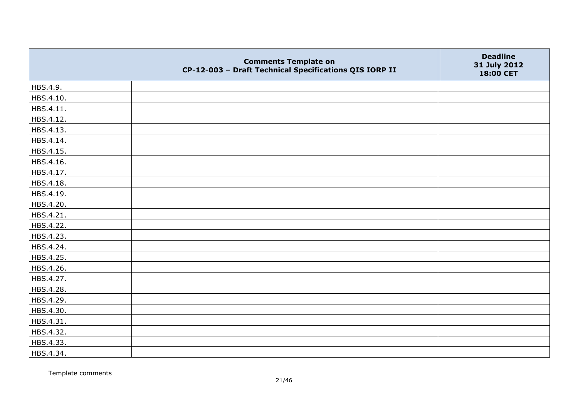|           | <b>Comments Template on</b><br>CP-12-003 - Draft Technical Specifications QIS IORP II | <b>Deadline</b><br>31 July 2012<br>18:00 CET |
|-----------|---------------------------------------------------------------------------------------|----------------------------------------------|
| HBS.4.9.  |                                                                                       |                                              |
| HBS.4.10. |                                                                                       |                                              |
| HBS.4.11. |                                                                                       |                                              |
| HBS.4.12. |                                                                                       |                                              |
| HBS.4.13. |                                                                                       |                                              |
| HBS.4.14. |                                                                                       |                                              |
| HBS.4.15. |                                                                                       |                                              |
| HBS.4.16. |                                                                                       |                                              |
| HBS.4.17. |                                                                                       |                                              |
| HBS.4.18. |                                                                                       |                                              |
| HBS.4.19. |                                                                                       |                                              |
| HBS.4.20. |                                                                                       |                                              |
| HBS.4.21. |                                                                                       |                                              |
| HBS.4.22. |                                                                                       |                                              |
| HBS.4.23. |                                                                                       |                                              |
| HBS.4.24. |                                                                                       |                                              |
| HBS.4.25. |                                                                                       |                                              |
| HBS.4.26. |                                                                                       |                                              |
| HBS.4.27. |                                                                                       |                                              |
| HBS.4.28. |                                                                                       |                                              |
| HBS.4.29. |                                                                                       |                                              |
| HBS.4.30. |                                                                                       |                                              |
| HBS.4.31. |                                                                                       |                                              |
| HBS.4.32. |                                                                                       |                                              |
| HBS.4.33. |                                                                                       |                                              |
| HBS.4.34. |                                                                                       |                                              |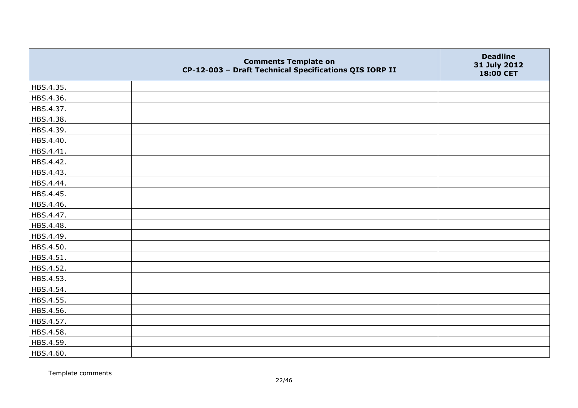|           | <b>Comments Template on</b><br>CP-12-003 - Draft Technical Specifications QIS IORP II | <b>Deadline</b><br>31 July 2012<br>18:00 CET |
|-----------|---------------------------------------------------------------------------------------|----------------------------------------------|
| HBS.4.35. |                                                                                       |                                              |
| HBS.4.36. |                                                                                       |                                              |
| HBS.4.37. |                                                                                       |                                              |
| HBS.4.38. |                                                                                       |                                              |
| HBS.4.39. |                                                                                       |                                              |
| HBS.4.40. |                                                                                       |                                              |
| HBS.4.41. |                                                                                       |                                              |
| HBS.4.42. |                                                                                       |                                              |
| HBS.4.43. |                                                                                       |                                              |
| HBS.4.44. |                                                                                       |                                              |
| HBS.4.45. |                                                                                       |                                              |
| HBS.4.46. |                                                                                       |                                              |
| HBS.4.47. |                                                                                       |                                              |
| HBS.4.48. |                                                                                       |                                              |
| HBS.4.49. |                                                                                       |                                              |
| HBS.4.50. |                                                                                       |                                              |
| HBS.4.51. |                                                                                       |                                              |
| HBS.4.52. |                                                                                       |                                              |
| HBS.4.53. |                                                                                       |                                              |
| HBS.4.54. |                                                                                       |                                              |
| HBS.4.55. |                                                                                       |                                              |
| HBS.4.56. |                                                                                       |                                              |
| HBS.4.57. |                                                                                       |                                              |
| HBS.4.58. |                                                                                       |                                              |
| HBS.4.59. |                                                                                       |                                              |
| HBS.4.60. |                                                                                       |                                              |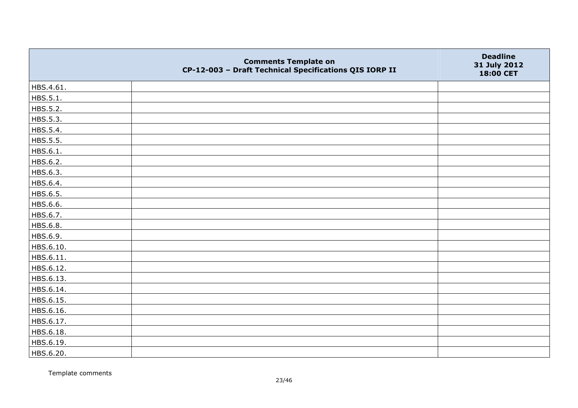|           | <b>Comments Template on</b><br>CP-12-003 - Draft Technical Specifications QIS IORP II | <b>Deadline</b><br>31 July 2012<br>18:00 CET |
|-----------|---------------------------------------------------------------------------------------|----------------------------------------------|
| HBS.4.61. |                                                                                       |                                              |
| HBS.5.1.  |                                                                                       |                                              |
| HBS.5.2.  |                                                                                       |                                              |
| HBS.5.3.  |                                                                                       |                                              |
| HBS.5.4.  |                                                                                       |                                              |
| HBS.5.5.  |                                                                                       |                                              |
| HBS.6.1.  |                                                                                       |                                              |
| HBS.6.2.  |                                                                                       |                                              |
| HBS.6.3.  |                                                                                       |                                              |
| HBS.6.4.  |                                                                                       |                                              |
| HBS.6.5.  |                                                                                       |                                              |
| HBS.6.6.  |                                                                                       |                                              |
| HBS.6.7.  |                                                                                       |                                              |
| HBS.6.8.  |                                                                                       |                                              |
| HBS.6.9.  |                                                                                       |                                              |
| HBS.6.10. |                                                                                       |                                              |
| HBS.6.11. |                                                                                       |                                              |
| HBS.6.12. |                                                                                       |                                              |
| HBS.6.13. |                                                                                       |                                              |
| HBS.6.14. |                                                                                       |                                              |
| HBS.6.15. |                                                                                       |                                              |
| HBS.6.16. |                                                                                       |                                              |
| HBS.6.17. |                                                                                       |                                              |
| HBS.6.18. |                                                                                       |                                              |
| HBS.6.19. |                                                                                       |                                              |
| HBS.6.20. |                                                                                       |                                              |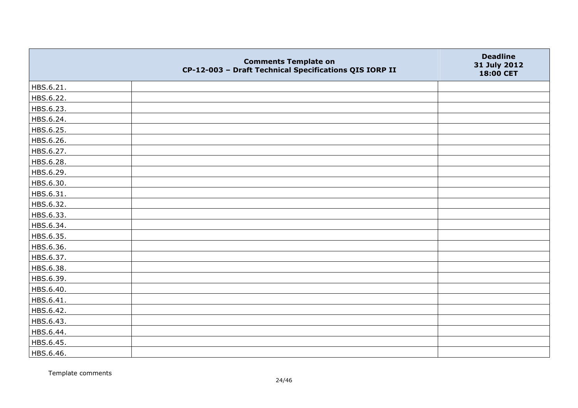|           | <b>Comments Template on</b><br>CP-12-003 - Draft Technical Specifications QIS IORP II | <b>Deadline</b><br>31 July 2012<br>18:00 CET |
|-----------|---------------------------------------------------------------------------------------|----------------------------------------------|
| HBS.6.21. |                                                                                       |                                              |
| HBS.6.22. |                                                                                       |                                              |
| HBS.6.23. |                                                                                       |                                              |
| HBS.6.24. |                                                                                       |                                              |
| HBS.6.25. |                                                                                       |                                              |
| HBS.6.26. |                                                                                       |                                              |
| HBS.6.27. |                                                                                       |                                              |
| HBS.6.28. |                                                                                       |                                              |
| HBS.6.29. |                                                                                       |                                              |
| HBS.6.30. |                                                                                       |                                              |
| HBS.6.31. |                                                                                       |                                              |
| HBS.6.32. |                                                                                       |                                              |
| HBS.6.33. |                                                                                       |                                              |
| HBS.6.34. |                                                                                       |                                              |
| HBS.6.35. |                                                                                       |                                              |
| HBS.6.36. |                                                                                       |                                              |
| HBS.6.37. |                                                                                       |                                              |
| HBS.6.38. |                                                                                       |                                              |
| HBS.6.39. |                                                                                       |                                              |
| HBS.6.40. |                                                                                       |                                              |
| HBS.6.41. |                                                                                       |                                              |
| HBS.6.42. |                                                                                       |                                              |
| HBS.6.43. |                                                                                       |                                              |
| HBS.6.44. |                                                                                       |                                              |
| HBS.6.45. |                                                                                       |                                              |
| HBS.6.46. |                                                                                       |                                              |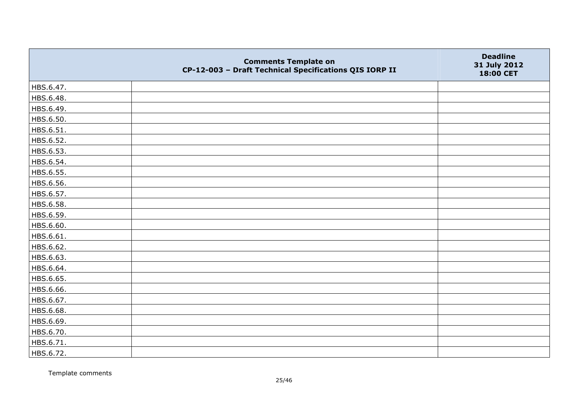|           | <b>Comments Template on</b><br>CP-12-003 - Draft Technical Specifications QIS IORP II | <b>Deadline</b><br>31 July 2012<br>18:00 CET |
|-----------|---------------------------------------------------------------------------------------|----------------------------------------------|
| HBS.6.47. |                                                                                       |                                              |
| HBS.6.48. |                                                                                       |                                              |
| HBS.6.49. |                                                                                       |                                              |
| HBS.6.50. |                                                                                       |                                              |
| HBS.6.51. |                                                                                       |                                              |
| HBS.6.52. |                                                                                       |                                              |
| HBS.6.53. |                                                                                       |                                              |
| HBS.6.54. |                                                                                       |                                              |
| HBS.6.55. |                                                                                       |                                              |
| HBS.6.56. |                                                                                       |                                              |
| HBS.6.57. |                                                                                       |                                              |
| HBS.6.58. |                                                                                       |                                              |
| HBS.6.59. |                                                                                       |                                              |
| HBS.6.60. |                                                                                       |                                              |
| HBS.6.61. |                                                                                       |                                              |
| HBS.6.62. |                                                                                       |                                              |
| HBS.6.63. |                                                                                       |                                              |
| HBS.6.64. |                                                                                       |                                              |
| HBS.6.65. |                                                                                       |                                              |
| HBS.6.66. |                                                                                       |                                              |
| HBS.6.67. |                                                                                       |                                              |
| HBS.6.68. |                                                                                       |                                              |
| HBS.6.69. |                                                                                       |                                              |
| HBS.6.70. |                                                                                       |                                              |
| HBS.6.71. |                                                                                       |                                              |
| HBS.6.72. |                                                                                       |                                              |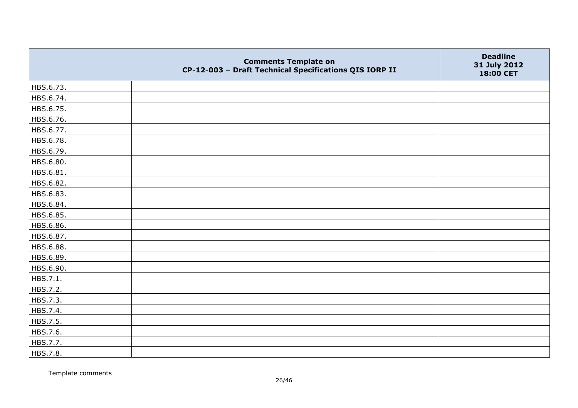|           | <b>Comments Template on</b><br>CP-12-003 - Draft Technical Specifications QIS IORP II | <b>Deadline</b><br>31 July 2012<br>18:00 CET |
|-----------|---------------------------------------------------------------------------------------|----------------------------------------------|
| HBS.6.73. |                                                                                       |                                              |
| HBS.6.74. |                                                                                       |                                              |
| HBS.6.75. |                                                                                       |                                              |
| HBS.6.76. |                                                                                       |                                              |
| HBS.6.77. |                                                                                       |                                              |
| HBS.6.78. |                                                                                       |                                              |
| HBS.6.79. |                                                                                       |                                              |
| HBS.6.80. |                                                                                       |                                              |
| HBS.6.81. |                                                                                       |                                              |
| HBS.6.82. |                                                                                       |                                              |
| HBS.6.83. |                                                                                       |                                              |
| HBS.6.84. |                                                                                       |                                              |
| HBS.6.85. |                                                                                       |                                              |
| HBS.6.86. |                                                                                       |                                              |
| HBS.6.87. |                                                                                       |                                              |
| HBS.6.88. |                                                                                       |                                              |
| HBS.6.89. |                                                                                       |                                              |
| HBS.6.90. |                                                                                       |                                              |
| HBS.7.1.  |                                                                                       |                                              |
| HBS.7.2.  |                                                                                       |                                              |
| HBS.7.3.  |                                                                                       |                                              |
| HBS.7.4.  |                                                                                       |                                              |
| HBS.7.5.  |                                                                                       |                                              |
| HBS.7.6.  |                                                                                       |                                              |
| HBS.7.7.  |                                                                                       |                                              |
| HBS.7.8.  |                                                                                       |                                              |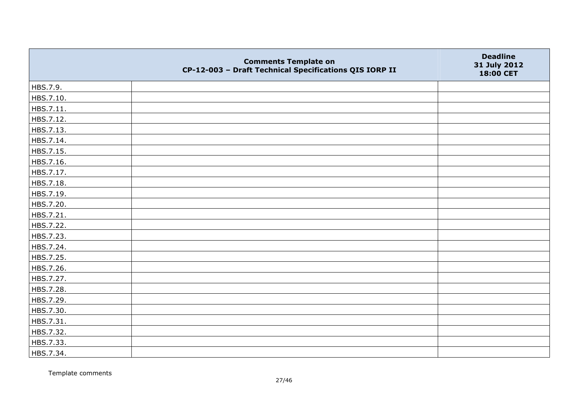|           | <b>Comments Template on</b><br>CP-12-003 - Draft Technical Specifications QIS IORP II | <b>Deadline</b><br>31 July 2012<br>18:00 CET |
|-----------|---------------------------------------------------------------------------------------|----------------------------------------------|
| HBS.7.9.  |                                                                                       |                                              |
| HBS.7.10. |                                                                                       |                                              |
| HBS.7.11. |                                                                                       |                                              |
| HBS.7.12. |                                                                                       |                                              |
| HBS.7.13. |                                                                                       |                                              |
| HBS.7.14. |                                                                                       |                                              |
| HBS.7.15. |                                                                                       |                                              |
| HBS.7.16. |                                                                                       |                                              |
| HBS.7.17. |                                                                                       |                                              |
| HBS.7.18. |                                                                                       |                                              |
| HBS.7.19. |                                                                                       |                                              |
| HBS.7.20. |                                                                                       |                                              |
| HBS.7.21. |                                                                                       |                                              |
| HBS.7.22. |                                                                                       |                                              |
| HBS.7.23. |                                                                                       |                                              |
| HBS.7.24. |                                                                                       |                                              |
| HBS.7.25. |                                                                                       |                                              |
| HBS.7.26. |                                                                                       |                                              |
| HBS.7.27. |                                                                                       |                                              |
| HBS.7.28. |                                                                                       |                                              |
| HBS.7.29. |                                                                                       |                                              |
| HBS.7.30. |                                                                                       |                                              |
| HBS.7.31. |                                                                                       |                                              |
| HBS.7.32. |                                                                                       |                                              |
| HBS.7.33. |                                                                                       |                                              |
| HBS.7.34. |                                                                                       |                                              |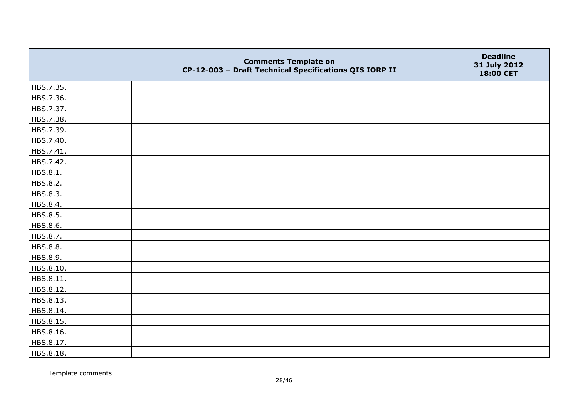|           | <b>Comments Template on</b><br>CP-12-003 - Draft Technical Specifications QIS IORP II | <b>Deadline</b><br>31 July 2012<br>18:00 CET |
|-----------|---------------------------------------------------------------------------------------|----------------------------------------------|
| HBS.7.35. |                                                                                       |                                              |
| HBS.7.36. |                                                                                       |                                              |
| HBS.7.37. |                                                                                       |                                              |
| HBS.7.38. |                                                                                       |                                              |
| HBS.7.39. |                                                                                       |                                              |
| HBS.7.40. |                                                                                       |                                              |
| HBS.7.41. |                                                                                       |                                              |
| HBS.7.42. |                                                                                       |                                              |
| HBS.8.1.  |                                                                                       |                                              |
| HBS.8.2.  |                                                                                       |                                              |
| HBS.8.3.  |                                                                                       |                                              |
| HBS.8.4.  |                                                                                       |                                              |
| HBS.8.5.  |                                                                                       |                                              |
| HBS.8.6.  |                                                                                       |                                              |
| HBS.8.7.  |                                                                                       |                                              |
| HBS.8.8.  |                                                                                       |                                              |
| HBS.8.9.  |                                                                                       |                                              |
| HBS.8.10. |                                                                                       |                                              |
| HBS.8.11. |                                                                                       |                                              |
| HBS.8.12. |                                                                                       |                                              |
| HBS.8.13. |                                                                                       |                                              |
| HBS.8.14. |                                                                                       |                                              |
| HBS.8.15. |                                                                                       |                                              |
| HBS.8.16. |                                                                                       |                                              |
| HBS.8.17. |                                                                                       |                                              |
| HBS.8.18. |                                                                                       |                                              |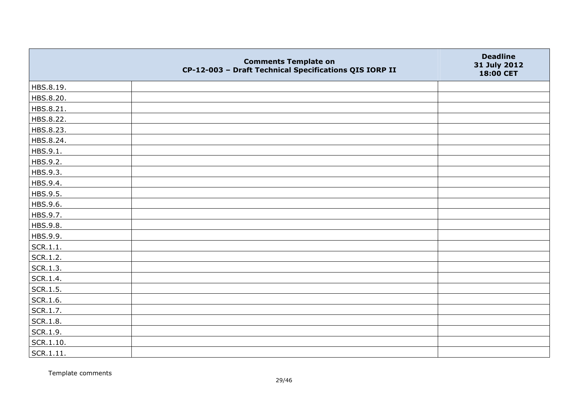|           | <b>Comments Template on</b><br>CP-12-003 - Draft Technical Specifications QIS IORP II | <b>Deadline</b><br>31 July 2012<br>18:00 CET |
|-----------|---------------------------------------------------------------------------------------|----------------------------------------------|
| HBS.8.19. |                                                                                       |                                              |
| HBS.8.20. |                                                                                       |                                              |
| HBS.8.21. |                                                                                       |                                              |
| HBS.8.22. |                                                                                       |                                              |
| HBS.8.23. |                                                                                       |                                              |
| HBS.8.24. |                                                                                       |                                              |
| HBS.9.1.  |                                                                                       |                                              |
| HBS.9.2.  |                                                                                       |                                              |
| HBS.9.3.  |                                                                                       |                                              |
| HBS.9.4.  |                                                                                       |                                              |
| HBS.9.5.  |                                                                                       |                                              |
| HBS.9.6.  |                                                                                       |                                              |
| HBS.9.7.  |                                                                                       |                                              |
| HBS.9.8.  |                                                                                       |                                              |
| HBS.9.9.  |                                                                                       |                                              |
| SCR.1.1.  |                                                                                       |                                              |
| SCR.1.2.  |                                                                                       |                                              |
| SCR.1.3.  |                                                                                       |                                              |
| SCR.1.4.  |                                                                                       |                                              |
| SCR.1.5.  |                                                                                       |                                              |
| SCR.1.6.  |                                                                                       |                                              |
| SCR.1.7.  |                                                                                       |                                              |
| SCR.1.8.  |                                                                                       |                                              |
| SCR.1.9.  |                                                                                       |                                              |
| SCR.1.10. |                                                                                       |                                              |
| SCR.1.11. |                                                                                       |                                              |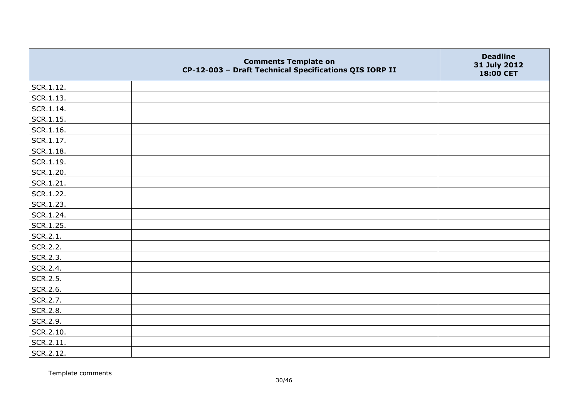|               | <b>Comments Template on</b><br>CP-12-003 - Draft Technical Specifications QIS IORP II | <b>Deadline</b><br>31 July 2012<br>18:00 CET |
|---------------|---------------------------------------------------------------------------------------|----------------------------------------------|
| SCR.1.12.     |                                                                                       |                                              |
| SCR.1.13.     |                                                                                       |                                              |
| SCR.1.14.     |                                                                                       |                                              |
| SCR.1.15.     |                                                                                       |                                              |
| SCR.1.16.     |                                                                                       |                                              |
| SCR.1.17.     |                                                                                       |                                              |
| $ $ SCR.1.18. |                                                                                       |                                              |
| SCR.1.19.     |                                                                                       |                                              |
| SCR.1.20.     |                                                                                       |                                              |
| SCR.1.21.     |                                                                                       |                                              |
| SCR.1.22.     |                                                                                       |                                              |
| SCR.1.23.     |                                                                                       |                                              |
| SCR.1.24.     |                                                                                       |                                              |
| SCR.1.25.     |                                                                                       |                                              |
| SCR.2.1.      |                                                                                       |                                              |
| SCR.2.2.      |                                                                                       |                                              |
| SCR.2.3.      |                                                                                       |                                              |
| SCR.2.4.      |                                                                                       |                                              |
| SCR.2.5.      |                                                                                       |                                              |
| SCR.2.6.      |                                                                                       |                                              |
| SCR.2.7.      |                                                                                       |                                              |
| SCR.2.8.      |                                                                                       |                                              |
| SCR.2.9.      |                                                                                       |                                              |
| SCR.2.10.     |                                                                                       |                                              |
| SCR.2.11.     |                                                                                       |                                              |
| SCR.2.12.     |                                                                                       |                                              |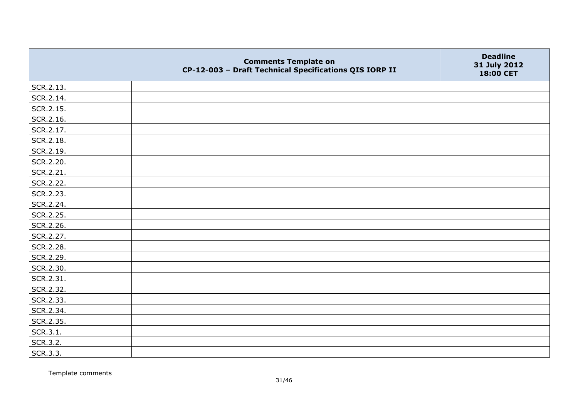|           | <b>Comments Template on</b><br>CP-12-003 - Draft Technical Specifications QIS IORP II | <b>Deadline</b><br>31 July 2012<br>18:00 CET |
|-----------|---------------------------------------------------------------------------------------|----------------------------------------------|
| SCR.2.13. |                                                                                       |                                              |
| SCR.2.14. |                                                                                       |                                              |
| SCR.2.15. |                                                                                       |                                              |
| SCR.2.16. |                                                                                       |                                              |
| SCR.2.17. |                                                                                       |                                              |
| SCR.2.18. |                                                                                       |                                              |
| SCR.2.19. |                                                                                       |                                              |
| SCR.2.20. |                                                                                       |                                              |
| SCR.2.21. |                                                                                       |                                              |
| SCR.2.22. |                                                                                       |                                              |
| SCR.2.23. |                                                                                       |                                              |
| SCR.2.24. |                                                                                       |                                              |
| SCR.2.25. |                                                                                       |                                              |
| SCR.2.26. |                                                                                       |                                              |
| SCR.2.27. |                                                                                       |                                              |
| SCR.2.28. |                                                                                       |                                              |
| SCR.2.29. |                                                                                       |                                              |
| SCR.2.30. |                                                                                       |                                              |
| SCR.2.31. |                                                                                       |                                              |
| SCR.2.32. |                                                                                       |                                              |
| SCR.2.33. |                                                                                       |                                              |
| SCR.2.34. |                                                                                       |                                              |
| SCR.2.35. |                                                                                       |                                              |
| SCR.3.1.  |                                                                                       |                                              |
| SCR.3.2.  |                                                                                       |                                              |
| SCR.3.3.  |                                                                                       |                                              |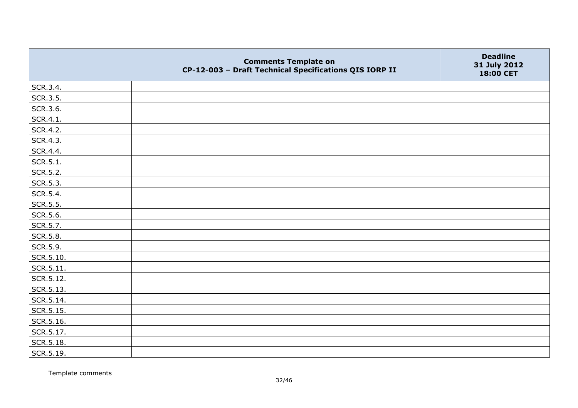|           | <b>Comments Template on</b><br>CP-12-003 - Draft Technical Specifications QIS IORP II | <b>Deadline</b><br>31 July 2012<br>18:00 CET |
|-----------|---------------------------------------------------------------------------------------|----------------------------------------------|
| SCR.3.4.  |                                                                                       |                                              |
| SCR.3.5.  |                                                                                       |                                              |
| SCR.3.6.  |                                                                                       |                                              |
| SCR.4.1.  |                                                                                       |                                              |
| SCR.4.2.  |                                                                                       |                                              |
| SCR.4.3.  |                                                                                       |                                              |
| SCR.4.4.  |                                                                                       |                                              |
| SCR.5.1.  |                                                                                       |                                              |
| SCR.5.2.  |                                                                                       |                                              |
| SCR.5.3.  |                                                                                       |                                              |
| SCR.5.4.  |                                                                                       |                                              |
| SCR.5.5.  |                                                                                       |                                              |
| SCR.5.6.  |                                                                                       |                                              |
| SCR.5.7.  |                                                                                       |                                              |
| SCR.5.8.  |                                                                                       |                                              |
| SCR.5.9.  |                                                                                       |                                              |
| SCR.5.10. |                                                                                       |                                              |
| SCR.5.11. |                                                                                       |                                              |
| SCR.5.12. |                                                                                       |                                              |
| SCR.5.13. |                                                                                       |                                              |
| SCR.5.14. |                                                                                       |                                              |
| SCR.5.15. |                                                                                       |                                              |
| SCR.5.16. |                                                                                       |                                              |
| SCR.5.17. |                                                                                       |                                              |
| SCR.5.18. |                                                                                       |                                              |
| SCR.5.19. |                                                                                       |                                              |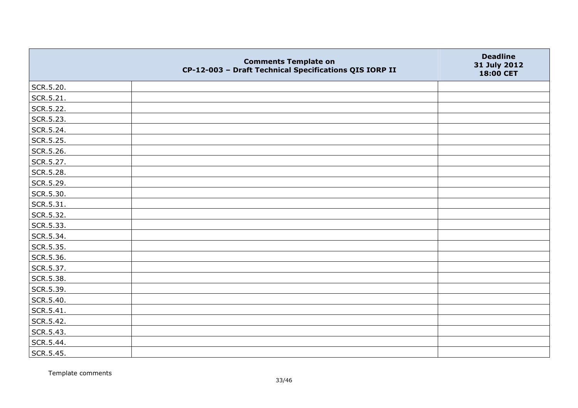|           | <b>Comments Template on</b><br>CP-12-003 - Draft Technical Specifications QIS IORP II | <b>Deadline</b><br>31 July 2012<br>18:00 CET |
|-----------|---------------------------------------------------------------------------------------|----------------------------------------------|
| SCR.5.20. |                                                                                       |                                              |
| SCR.5.21. |                                                                                       |                                              |
| SCR.5.22. |                                                                                       |                                              |
| SCR.5.23. |                                                                                       |                                              |
| SCR.5.24. |                                                                                       |                                              |
| SCR.5.25. |                                                                                       |                                              |
| SCR.5.26. |                                                                                       |                                              |
| SCR.5.27. |                                                                                       |                                              |
| SCR.5.28. |                                                                                       |                                              |
| SCR.5.29. |                                                                                       |                                              |
| SCR.5.30. |                                                                                       |                                              |
| SCR.5.31. |                                                                                       |                                              |
| SCR.5.32. |                                                                                       |                                              |
| SCR.5.33. |                                                                                       |                                              |
| SCR.5.34. |                                                                                       |                                              |
| SCR.5.35. |                                                                                       |                                              |
| SCR.5.36. |                                                                                       |                                              |
| SCR.5.37. |                                                                                       |                                              |
| SCR.5.38. |                                                                                       |                                              |
| SCR.5.39. |                                                                                       |                                              |
| SCR.5.40. |                                                                                       |                                              |
| SCR.5.41. |                                                                                       |                                              |
| SCR.5.42. |                                                                                       |                                              |
| SCR.5.43. |                                                                                       |                                              |
| SCR.5.44. |                                                                                       |                                              |
| SCR.5.45. |                                                                                       |                                              |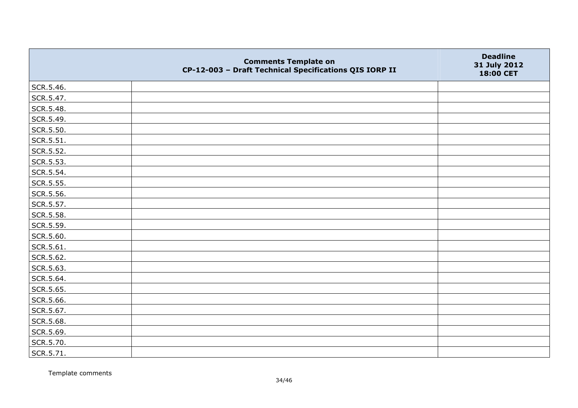|           | <b>Comments Template on</b><br>CP-12-003 - Draft Technical Specifications QIS IORP II | <b>Deadline</b><br>31 July 2012<br>18:00 CET |
|-----------|---------------------------------------------------------------------------------------|----------------------------------------------|
| SCR.5.46. |                                                                                       |                                              |
| SCR.5.47. |                                                                                       |                                              |
| SCR.5.48. |                                                                                       |                                              |
| SCR.5.49. |                                                                                       |                                              |
| SCR.5.50. |                                                                                       |                                              |
| SCR.5.51. |                                                                                       |                                              |
| SCR.5.52. |                                                                                       |                                              |
| SCR.5.53. |                                                                                       |                                              |
| SCR.5.54. |                                                                                       |                                              |
| SCR.5.55. |                                                                                       |                                              |
| SCR.5.56. |                                                                                       |                                              |
| SCR.5.57. |                                                                                       |                                              |
| SCR.5.58. |                                                                                       |                                              |
| SCR.5.59. |                                                                                       |                                              |
| SCR.5.60. |                                                                                       |                                              |
| SCR.5.61. |                                                                                       |                                              |
| SCR.5.62. |                                                                                       |                                              |
| SCR.5.63. |                                                                                       |                                              |
| SCR.5.64. |                                                                                       |                                              |
| SCR.5.65. |                                                                                       |                                              |
| SCR.5.66. |                                                                                       |                                              |
| SCR.5.67. |                                                                                       |                                              |
| SCR.5.68. |                                                                                       |                                              |
| SCR.5.69. |                                                                                       |                                              |
| SCR.5.70. |                                                                                       |                                              |
| SCR.5.71. |                                                                                       |                                              |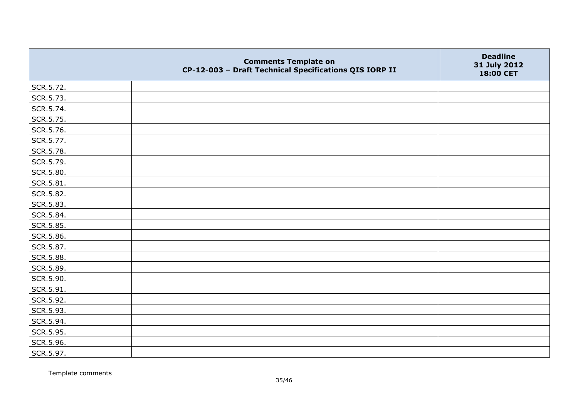|           | <b>Comments Template on</b><br>CP-12-003 - Draft Technical Specifications QIS IORP II | <b>Deadline</b><br>31 July 2012<br>18:00 CET |
|-----------|---------------------------------------------------------------------------------------|----------------------------------------------|
| SCR.5.72. |                                                                                       |                                              |
| SCR.5.73. |                                                                                       |                                              |
| SCR.5.74. |                                                                                       |                                              |
| SCR.5.75. |                                                                                       |                                              |
| SCR.5.76. |                                                                                       |                                              |
| SCR.5.77. |                                                                                       |                                              |
| SCR.5.78. |                                                                                       |                                              |
| SCR.5.79. |                                                                                       |                                              |
| SCR.5.80. |                                                                                       |                                              |
| SCR.5.81. |                                                                                       |                                              |
| SCR.5.82. |                                                                                       |                                              |
| SCR.5.83. |                                                                                       |                                              |
| SCR.5.84. |                                                                                       |                                              |
| SCR.5.85. |                                                                                       |                                              |
| SCR.5.86. |                                                                                       |                                              |
| SCR.5.87. |                                                                                       |                                              |
| SCR.5.88. |                                                                                       |                                              |
| SCR.5.89. |                                                                                       |                                              |
| SCR.5.90. |                                                                                       |                                              |
| SCR.5.91. |                                                                                       |                                              |
| SCR.5.92. |                                                                                       |                                              |
| SCR.5.93. |                                                                                       |                                              |
| SCR.5.94. |                                                                                       |                                              |
| SCR.5.95. |                                                                                       |                                              |
| SCR.5.96. |                                                                                       |                                              |
| SCR.5.97. |                                                                                       |                                              |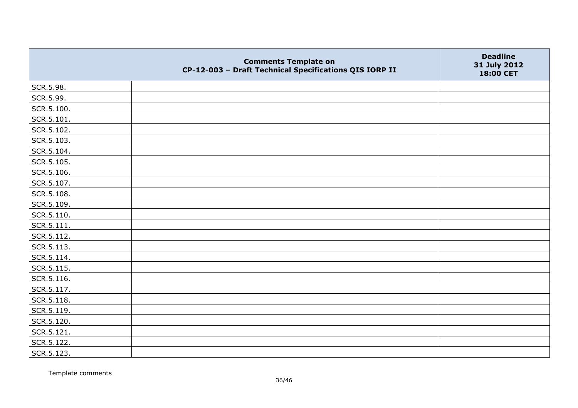|                    | <b>Comments Template on</b><br>CP-12-003 - Draft Technical Specifications QIS IORP II | <b>Deadline</b><br>31 July 2012<br>18:00 CET |
|--------------------|---------------------------------------------------------------------------------------|----------------------------------------------|
| SCR.5.98.          |                                                                                       |                                              |
| SCR.5.99.          |                                                                                       |                                              |
| SCR.5.100.         |                                                                                       |                                              |
| $\vert$ SCR.5.101. |                                                                                       |                                              |
| SCR.5.102.         |                                                                                       |                                              |
| SCR.5.103.         |                                                                                       |                                              |
| SCR.5.104.         |                                                                                       |                                              |
| SCR.5.105.         |                                                                                       |                                              |
| SCR.5.106.         |                                                                                       |                                              |
| SCR.5.107.         |                                                                                       |                                              |
| SCR.5.108.         |                                                                                       |                                              |
| SCR.5.109.         |                                                                                       |                                              |
| SCR.5.110.         |                                                                                       |                                              |
| SCR.5.111.         |                                                                                       |                                              |
| SCR.5.112.         |                                                                                       |                                              |
| SCR.5.113.         |                                                                                       |                                              |
| SCR.5.114.         |                                                                                       |                                              |
| SCR.5.115.         |                                                                                       |                                              |
| SCR.5.116.         |                                                                                       |                                              |
| SCR.5.117.         |                                                                                       |                                              |
| SCR.5.118.         |                                                                                       |                                              |
| SCR.5.119.         |                                                                                       |                                              |
| SCR.5.120.         |                                                                                       |                                              |
| SCR.5.121.         |                                                                                       |                                              |
| SCR.5.122.         |                                                                                       |                                              |
| SCR.5.123.         |                                                                                       |                                              |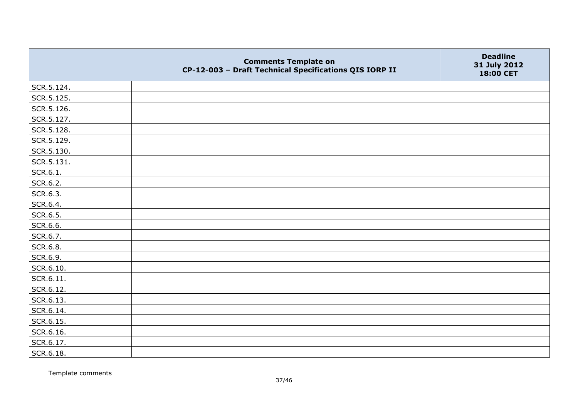|            | <b>Comments Template on</b><br>CP-12-003 - Draft Technical Specifications QIS IORP II | <b>Deadline</b><br>31 July 2012<br>18:00 CET |
|------------|---------------------------------------------------------------------------------------|----------------------------------------------|
| SCR.5.124. |                                                                                       |                                              |
| SCR.5.125. |                                                                                       |                                              |
| SCR.5.126. |                                                                                       |                                              |
| SCR.5.127. |                                                                                       |                                              |
| SCR.5.128. |                                                                                       |                                              |
| SCR.5.129. |                                                                                       |                                              |
| SCR.5.130. |                                                                                       |                                              |
| SCR.5.131. |                                                                                       |                                              |
| SCR.6.1.   |                                                                                       |                                              |
| SCR.6.2.   |                                                                                       |                                              |
| SCR.6.3.   |                                                                                       |                                              |
| SCR.6.4.   |                                                                                       |                                              |
| SCR.6.5.   |                                                                                       |                                              |
| SCR.6.6.   |                                                                                       |                                              |
| SCR.6.7.   |                                                                                       |                                              |
| SCR.6.8.   |                                                                                       |                                              |
| SCR.6.9.   |                                                                                       |                                              |
| SCR.6.10.  |                                                                                       |                                              |
| SCR.6.11.  |                                                                                       |                                              |
| SCR.6.12.  |                                                                                       |                                              |
| SCR.6.13.  |                                                                                       |                                              |
| SCR.6.14.  |                                                                                       |                                              |
| SCR.6.15.  |                                                                                       |                                              |
| SCR.6.16.  |                                                                                       |                                              |
| SCR.6.17.  |                                                                                       |                                              |
| SCR.6.18.  |                                                                                       |                                              |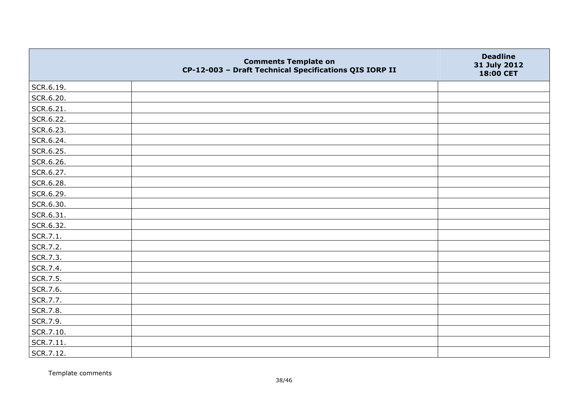|                 | <b>Comments Template on</b><br>CP-12-003 - Draft Technical Specifications QIS IORP II | <b>Deadline</b><br>31 July 2012<br>18:00 CET |
|-----------------|---------------------------------------------------------------------------------------|----------------------------------------------|
| SCR.6.19.       |                                                                                       |                                              |
| SCR.6.20.       |                                                                                       |                                              |
| SCR.6.21.       |                                                                                       |                                              |
| SCR.6.22.       |                                                                                       |                                              |
| SCR.6.23.       |                                                                                       |                                              |
| SCR.6.24.       |                                                                                       |                                              |
| SCR.6.25.       |                                                                                       |                                              |
| SCR.6.26.       |                                                                                       |                                              |
| SCR.6.27.       |                                                                                       |                                              |
| SCR.6.28.       |                                                                                       |                                              |
| SCR.6.29.       |                                                                                       |                                              |
| SCR.6.30.       |                                                                                       |                                              |
| SCR.6.31.       |                                                                                       |                                              |
| SCR.6.32.       |                                                                                       |                                              |
| SCR.7.1.        |                                                                                       |                                              |
| SCR.7.2.        |                                                                                       |                                              |
| SCR.7.3.        |                                                                                       |                                              |
| SCR.7.4.        |                                                                                       |                                              |
| SCR.7.5.        |                                                                                       |                                              |
| SCR.7.6.        |                                                                                       |                                              |
| SCR.7.7.        |                                                                                       |                                              |
| <b>SCR.7.8.</b> |                                                                                       |                                              |
| SCR.7.9.        |                                                                                       |                                              |
| SCR.7.10.       |                                                                                       |                                              |
| SCR.7.11.       |                                                                                       |                                              |
| SCR.7.12.       |                                                                                       |                                              |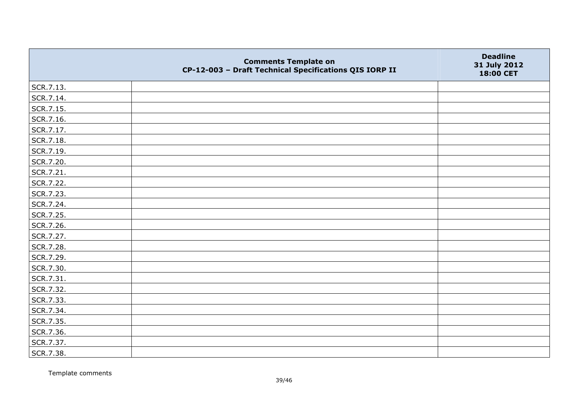|           | <b>Comments Template on</b><br>CP-12-003 - Draft Technical Specifications QIS IORP II | <b>Deadline</b><br>31 July 2012<br>18:00 CET |
|-----------|---------------------------------------------------------------------------------------|----------------------------------------------|
| SCR.7.13. |                                                                                       |                                              |
| SCR.7.14. |                                                                                       |                                              |
| SCR.7.15. |                                                                                       |                                              |
| SCR.7.16. |                                                                                       |                                              |
| SCR.7.17. |                                                                                       |                                              |
| SCR.7.18. |                                                                                       |                                              |
| SCR.7.19. |                                                                                       |                                              |
| SCR.7.20. |                                                                                       |                                              |
| SCR.7.21. |                                                                                       |                                              |
| SCR.7.22. |                                                                                       |                                              |
| SCR.7.23. |                                                                                       |                                              |
| SCR.7.24. |                                                                                       |                                              |
| SCR.7.25. |                                                                                       |                                              |
| SCR.7.26. |                                                                                       |                                              |
| SCR.7.27. |                                                                                       |                                              |
| SCR.7.28. |                                                                                       |                                              |
| SCR.7.29. |                                                                                       |                                              |
| SCR.7.30. |                                                                                       |                                              |
| SCR.7.31. |                                                                                       |                                              |
| SCR.7.32. |                                                                                       |                                              |
| SCR.7.33. |                                                                                       |                                              |
| SCR.7.34. |                                                                                       |                                              |
| SCR.7.35. |                                                                                       |                                              |
| SCR.7.36. |                                                                                       |                                              |
| SCR.7.37. |                                                                                       |                                              |
| SCR.7.38. |                                                                                       |                                              |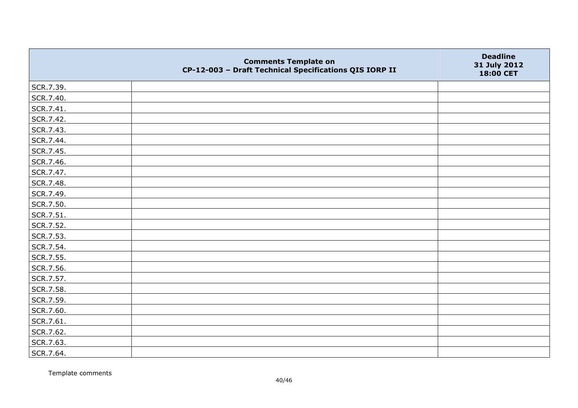|           | <b>Comments Template on</b><br>CP-12-003 - Draft Technical Specifications QIS IORP II | <b>Deadline</b><br>31 July 2012<br>18:00 CET |
|-----------|---------------------------------------------------------------------------------------|----------------------------------------------|
| SCR.7.39. |                                                                                       |                                              |
| SCR.7.40. |                                                                                       |                                              |
| SCR.7.41. |                                                                                       |                                              |
| SCR.7.42. |                                                                                       |                                              |
| SCR.7.43. |                                                                                       |                                              |
| SCR.7.44. |                                                                                       |                                              |
| SCR.7.45. |                                                                                       |                                              |
| SCR.7.46. |                                                                                       |                                              |
| SCR.7.47. |                                                                                       |                                              |
| SCR.7.48. |                                                                                       |                                              |
| SCR.7.49. |                                                                                       |                                              |
| SCR.7.50. |                                                                                       |                                              |
| SCR.7.51. |                                                                                       |                                              |
| SCR.7.52. |                                                                                       |                                              |
| SCR.7.53. |                                                                                       |                                              |
| SCR.7.54. |                                                                                       |                                              |
| SCR.7.55. |                                                                                       |                                              |
| SCR.7.56. |                                                                                       |                                              |
| SCR.7.57. |                                                                                       |                                              |
| SCR.7.58. |                                                                                       |                                              |
| SCR.7.59. |                                                                                       |                                              |
| SCR.7.60. |                                                                                       |                                              |
| SCR.7.61. |                                                                                       |                                              |
| SCR.7.62. |                                                                                       |                                              |
| SCR.7.63. |                                                                                       |                                              |
| SCR.7.64. |                                                                                       |                                              |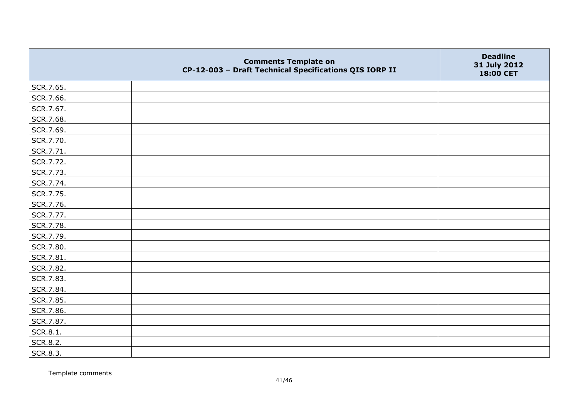|           | <b>Comments Template on</b><br>CP-12-003 - Draft Technical Specifications QIS IORP II | <b>Deadline</b><br>31 July 2012<br>18:00 CET |
|-----------|---------------------------------------------------------------------------------------|----------------------------------------------|
| SCR.7.65. |                                                                                       |                                              |
| SCR.7.66. |                                                                                       |                                              |
| SCR.7.67. |                                                                                       |                                              |
| SCR.7.68. |                                                                                       |                                              |
| SCR.7.69. |                                                                                       |                                              |
| SCR.7.70. |                                                                                       |                                              |
| SCR.7.71. |                                                                                       |                                              |
| SCR.7.72. |                                                                                       |                                              |
| SCR.7.73. |                                                                                       |                                              |
| SCR.7.74. |                                                                                       |                                              |
| SCR.7.75. |                                                                                       |                                              |
| SCR.7.76. |                                                                                       |                                              |
| SCR.7.77. |                                                                                       |                                              |
| SCR.7.78. |                                                                                       |                                              |
| SCR.7.79. |                                                                                       |                                              |
| SCR.7.80. |                                                                                       |                                              |
| SCR.7.81. |                                                                                       |                                              |
| SCR.7.82. |                                                                                       |                                              |
| SCR.7.83. |                                                                                       |                                              |
| SCR.7.84. |                                                                                       |                                              |
| SCR.7.85. |                                                                                       |                                              |
| SCR.7.86. |                                                                                       |                                              |
| SCR.7.87. |                                                                                       |                                              |
| SCR.8.1.  |                                                                                       |                                              |
| SCR.8.2.  |                                                                                       |                                              |
| SCR.8.3.  |                                                                                       |                                              |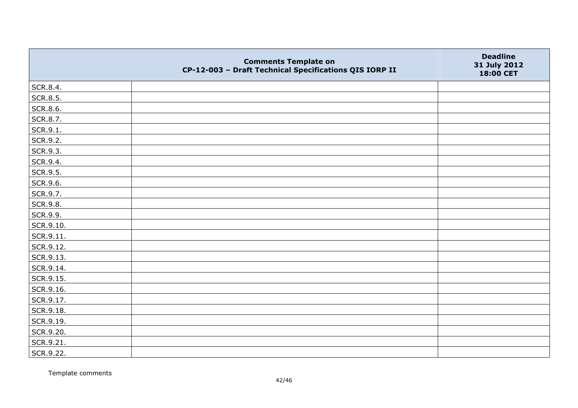|           | <b>Comments Template on</b><br>CP-12-003 - Draft Technical Specifications QIS IORP II | <b>Deadline</b><br>31 July 2012<br>18:00 CET |
|-----------|---------------------------------------------------------------------------------------|----------------------------------------------|
| SCR.8.4.  |                                                                                       |                                              |
| SCR.8.5.  |                                                                                       |                                              |
| SCR.8.6.  |                                                                                       |                                              |
| SCR.8.7.  |                                                                                       |                                              |
| SCR.9.1.  |                                                                                       |                                              |
| SCR.9.2.  |                                                                                       |                                              |
| SCR.9.3.  |                                                                                       |                                              |
| SCR.9.4.  |                                                                                       |                                              |
| SCR.9.5.  |                                                                                       |                                              |
| SCR.9.6.  |                                                                                       |                                              |
| SCR.9.7.  |                                                                                       |                                              |
| SCR.9.8.  |                                                                                       |                                              |
| SCR.9.9.  |                                                                                       |                                              |
| SCR.9.10. |                                                                                       |                                              |
| SCR.9.11. |                                                                                       |                                              |
| SCR.9.12. |                                                                                       |                                              |
| SCR.9.13. |                                                                                       |                                              |
| SCR.9.14. |                                                                                       |                                              |
| SCR.9.15. |                                                                                       |                                              |
| SCR.9.16. |                                                                                       |                                              |
| SCR.9.17. |                                                                                       |                                              |
| SCR.9.18. |                                                                                       |                                              |
| SCR.9.19. |                                                                                       |                                              |
| SCR.9.20. |                                                                                       |                                              |
| SCR.9.21. |                                                                                       |                                              |
| SCR.9.22. |                                                                                       |                                              |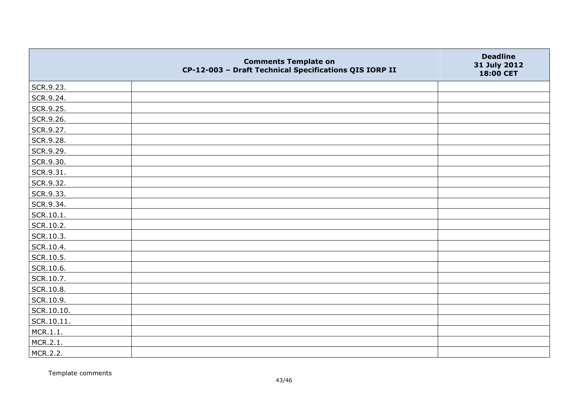|            | <b>Comments Template on</b><br>CP-12-003 - Draft Technical Specifications QIS IORP II | <b>Deadline</b><br>31 July 2012<br>18:00 CET |
|------------|---------------------------------------------------------------------------------------|----------------------------------------------|
| SCR.9.23.  |                                                                                       |                                              |
| SCR.9.24.  |                                                                                       |                                              |
| SCR.9.25.  |                                                                                       |                                              |
| SCR.9.26.  |                                                                                       |                                              |
| SCR.9.27.  |                                                                                       |                                              |
| SCR.9.28.  |                                                                                       |                                              |
| SCR.9.29.  |                                                                                       |                                              |
| SCR.9.30.  |                                                                                       |                                              |
| SCR.9.31.  |                                                                                       |                                              |
| SCR.9.32.  |                                                                                       |                                              |
| SCR.9.33.  |                                                                                       |                                              |
| SCR.9.34.  |                                                                                       |                                              |
| SCR.10.1.  |                                                                                       |                                              |
| SCR.10.2.  |                                                                                       |                                              |
| SCR.10.3.  |                                                                                       |                                              |
| SCR.10.4.  |                                                                                       |                                              |
| SCR.10.5.  |                                                                                       |                                              |
| SCR.10.6.  |                                                                                       |                                              |
| SCR.10.7.  |                                                                                       |                                              |
| SCR.10.8.  |                                                                                       |                                              |
| SCR.10.9.  |                                                                                       |                                              |
| SCR.10.10. |                                                                                       |                                              |
| SCR.10.11. |                                                                                       |                                              |
| MCR.1.1.   |                                                                                       |                                              |
| MCR.2.1.   |                                                                                       |                                              |
| MCR.2.2.   |                                                                                       |                                              |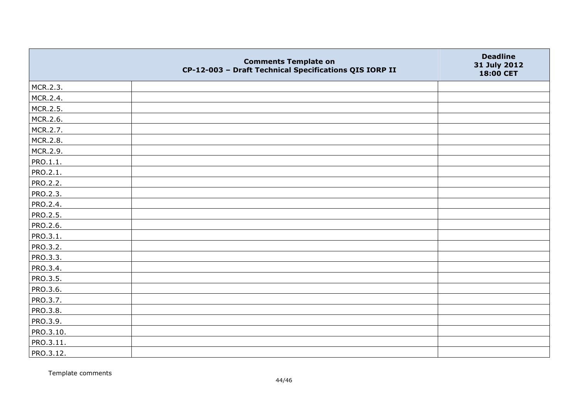|                 | <b>Comments Template on</b><br>CP-12-003 - Draft Technical Specifications QIS IORP II | <b>Deadline</b><br>31 July 2012<br>18:00 CET |
|-----------------|---------------------------------------------------------------------------------------|----------------------------------------------|
| MCR.2.3.        |                                                                                       |                                              |
| MCR.2.4.        |                                                                                       |                                              |
| MCR.2.5.        |                                                                                       |                                              |
| MCR.2.6.        |                                                                                       |                                              |
| MCR.2.7.        |                                                                                       |                                              |
| MCR.2.8.        |                                                                                       |                                              |
| MCR.2.9.        |                                                                                       |                                              |
| PRO.1.1.        |                                                                                       |                                              |
| PRO.2.1.        |                                                                                       |                                              |
| PRO.2.2.        |                                                                                       |                                              |
| <b>PRO.2.3.</b> |                                                                                       |                                              |
| PRO.2.4.        |                                                                                       |                                              |
| <b>PRO.2.5.</b> |                                                                                       |                                              |
| PRO.2.6.        |                                                                                       |                                              |
| PRO.3.1.        |                                                                                       |                                              |
| PRO.3.2.        |                                                                                       |                                              |
| PRO.3.3.        |                                                                                       |                                              |
| PRO.3.4.        |                                                                                       |                                              |
| PRO.3.5.        |                                                                                       |                                              |
| PRO.3.6.        |                                                                                       |                                              |
| PRO.3.7.        |                                                                                       |                                              |
| <b>PRO.3.8.</b> |                                                                                       |                                              |
| PRO.3.9.        |                                                                                       |                                              |
| PRO.3.10.       |                                                                                       |                                              |
| PRO.3.11.       |                                                                                       |                                              |
| PRO.3.12.       |                                                                                       |                                              |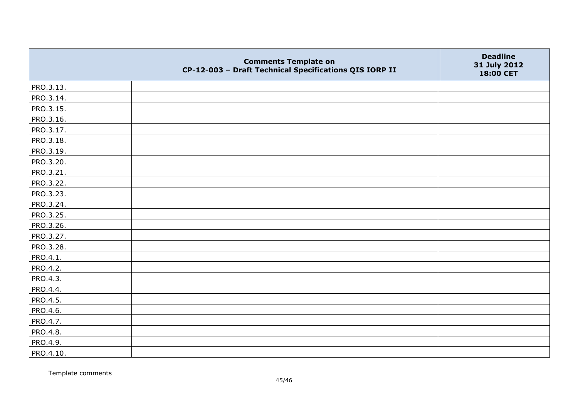|           | <b>Comments Template on</b><br>CP-12-003 - Draft Technical Specifications QIS IORP II | <b>Deadline</b><br>31 July 2012<br>18:00 CET |
|-----------|---------------------------------------------------------------------------------------|----------------------------------------------|
| PRO.3.13. |                                                                                       |                                              |
| PRO.3.14. |                                                                                       |                                              |
| PRO.3.15. |                                                                                       |                                              |
| PRO.3.16. |                                                                                       |                                              |
| PRO.3.17. |                                                                                       |                                              |
| PRO.3.18. |                                                                                       |                                              |
| PRO.3.19. |                                                                                       |                                              |
| PRO.3.20. |                                                                                       |                                              |
| PRO.3.21. |                                                                                       |                                              |
| PRO.3.22. |                                                                                       |                                              |
| PRO.3.23. |                                                                                       |                                              |
| PRO.3.24. |                                                                                       |                                              |
| PRO.3.25. |                                                                                       |                                              |
| PRO.3.26. |                                                                                       |                                              |
| PRO.3.27. |                                                                                       |                                              |
| PRO.3.28. |                                                                                       |                                              |
| PRO.4.1.  |                                                                                       |                                              |
| PRO.4.2.  |                                                                                       |                                              |
| PRO.4.3.  |                                                                                       |                                              |
| PRO.4.4.  |                                                                                       |                                              |
| PRO.4.5.  |                                                                                       |                                              |
| PRO.4.6.  |                                                                                       |                                              |
| PRO.4.7.  |                                                                                       |                                              |
| PRO.4.8.  |                                                                                       |                                              |
| PRO.4.9.  |                                                                                       |                                              |
| PRO.4.10. |                                                                                       |                                              |